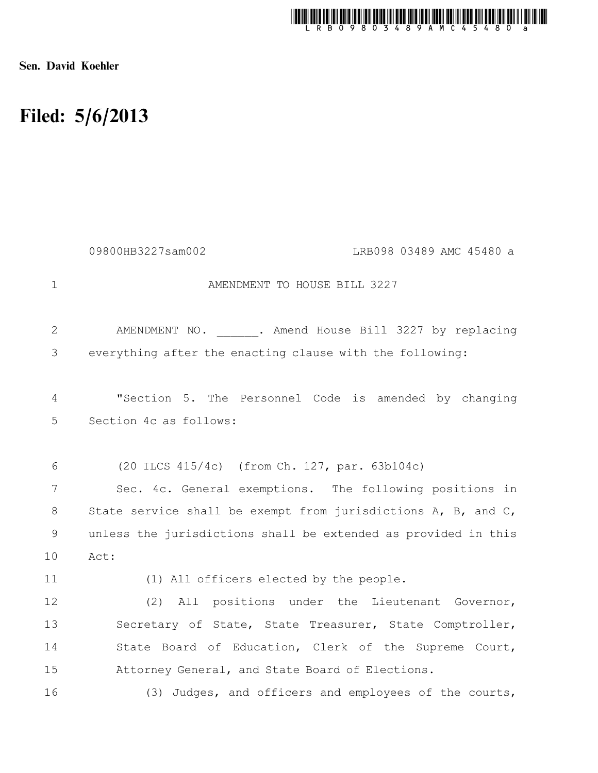

Sen. David Koehler

## Filed: 5/6/2013

|             | 09800HB3227sam002<br>LRB098 03489 AMC 45480 a                  |
|-------------|----------------------------------------------------------------|
| $\mathbf 1$ | AMENDMENT TO HOUSE BILL 3227                                   |
| 2           | AMENDMENT NO. . Amend House Bill 3227 by replacing             |
| 3           | everything after the enacting clause with the following:       |
| 4           | "Section 5. The Personnel Code is amended by changing          |
| 5           | Section 4c as follows:                                         |
| 6           | (20 ILCS 415/4c) (from Ch. 127, par. 63b104c)                  |
| 7           | Sec. 4c. General exemptions. The following positions in        |
| 8           | State service shall be exempt from jurisdictions A, B, and C,  |
| 9           | unless the jurisdictions shall be extended as provided in this |
| 10          | Act:                                                           |
| 11          | (1) All officers elected by the people.                        |
| 12          | (2) All positions under the Lieutenant Governor,               |
| 13          | Secretary of State, State Treasurer, State Comptroller,        |
| 14          | State Board of Education, Clerk of the Supreme Court,          |
| 15          | Attorney General, and State Board of Elections.                |
| 16          | (3) Judges, and officers and employees of the courts,          |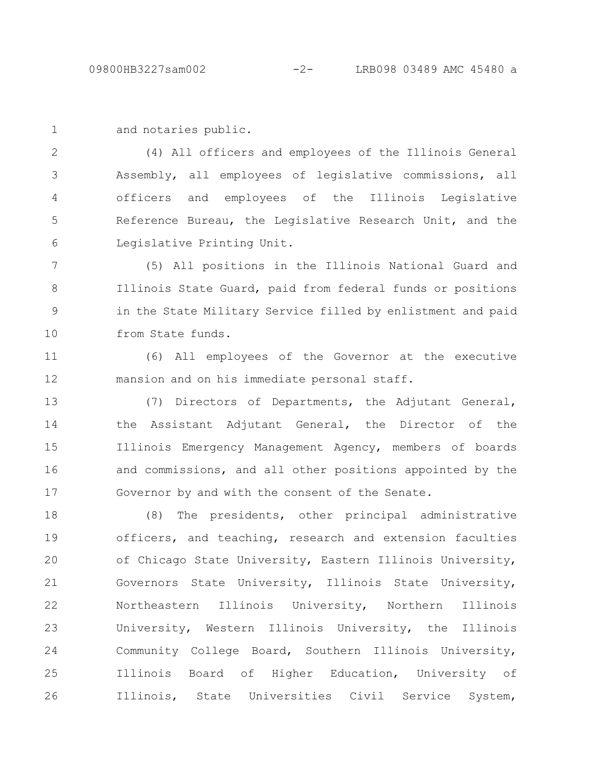```
and notaries public.
1
```
(4) All officers and employees of the Illinois General Assembly, all employees of legislative commissions, all officers and employees of the Illinois Legislative Reference Bureau, the Legislative Research Unit, and the Legislative Printing Unit. 2 3 4 5 6

(5) All positions in the Illinois National Guard and Illinois State Guard, paid from federal funds or positions in the State Military Service filled by enlistment and paid from State funds. 7 8 9 10

(6) All employees of the Governor at the executive mansion and on his immediate personal staff. 11 12

(7) Directors of Departments, the Adjutant General, the Assistant Adjutant General, the Director of the Illinois Emergency Management Agency, members of boards and commissions, and all other positions appointed by the Governor by and with the consent of the Senate. 13 14 15 16 17

(8) The presidents, other principal administrative officers, and teaching, research and extension faculties of Chicago State University, Eastern Illinois University, Governors State University, Illinois State University, Northeastern Illinois University, Northern Illinois University, Western Illinois University, the Illinois Community College Board, Southern Illinois University, Illinois Board of Higher Education, University of Illinois, State Universities Civil Service System, 18 19 20 21 22 23 24 25 26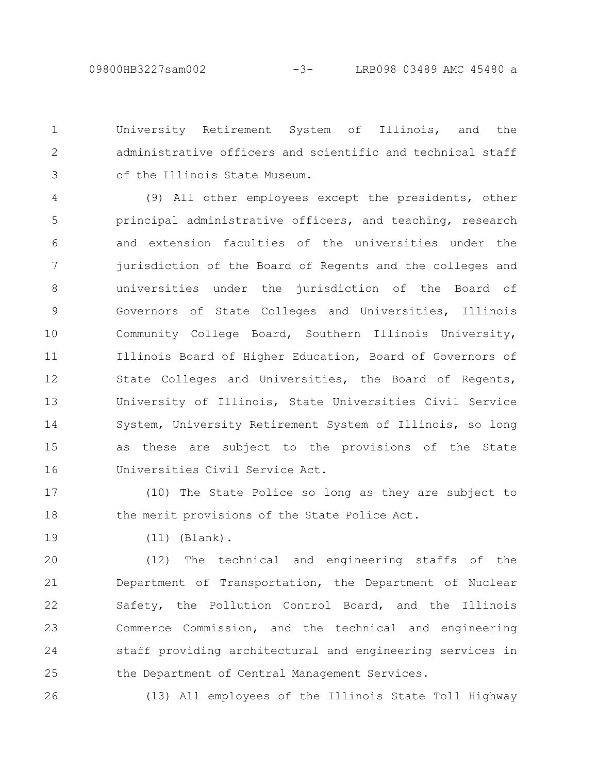University Retirement System of Illinois, and the administrative officers and scientific and technical staff of the Illinois State Museum. 1 2 3

(9) All other employees except the presidents, other principal administrative officers, and teaching, research and extension faculties of the universities under the jurisdiction of the Board of Regents and the colleges and universities under the jurisdiction of the Board of Governors of State Colleges and Universities, Illinois Community College Board, Southern Illinois University, Illinois Board of Higher Education, Board of Governors of State Colleges and Universities, the Board of Regents, University of Illinois, State Universities Civil Service System, University Retirement System of Illinois, so long as these are subject to the provisions of the State Universities Civil Service Act. 4 5 6 7 8 9 10 11 12 13 14 15 16

(10) The State Police so long as they are subject to the merit provisions of the State Police Act. 17 18

19

(11) (Blank).

(12) The technical and engineering staffs of the Department of Transportation, the Department of Nuclear Safety, the Pollution Control Board, and the Illinois Commerce Commission, and the technical and engineering staff providing architectural and engineering services in the Department of Central Management Services. 20 21 22 23 24 25

(13) All employees of the Illinois State Toll Highway 26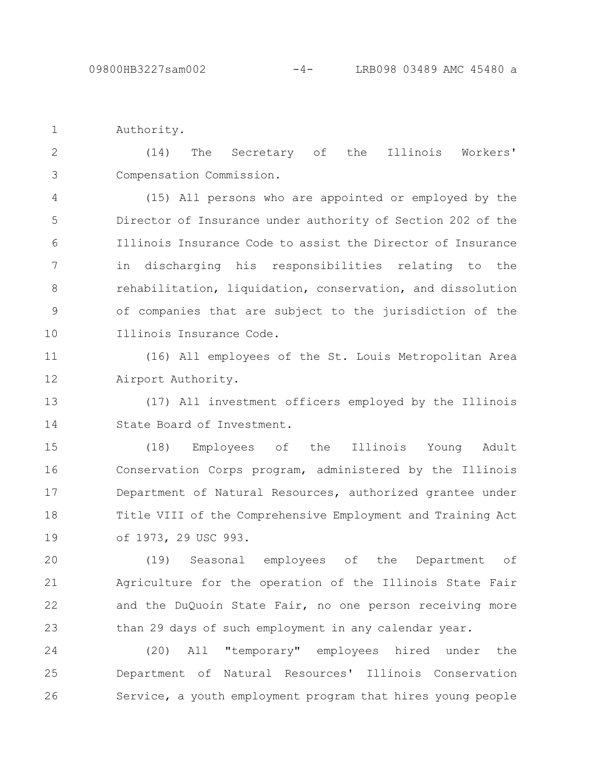Authority. 1

(14) The Secretary of the Illinois Workers' Compensation Commission. 2 3

(15) All persons who are appointed or employed by the Director of Insurance under authority of Section 202 of the Illinois Insurance Code to assist the Director of Insurance in discharging his responsibilities relating to the rehabilitation, liquidation, conservation, and dissolution of companies that are subject to the jurisdiction of the Illinois Insurance Code. 4 5 6 7 8 9 10

(16) All employees of the St. Louis Metropolitan Area Airport Authority. 11 12

(17) All investment officers employed by the Illinois State Board of Investment. 13 14

(18) Employees of the Illinois Young Adult Conservation Corps program, administered by the Illinois Department of Natural Resources, authorized grantee under Title VIII of the Comprehensive Employment and Training Act of 1973, 29 USC 993. 15 16 17 18 19

(19) Seasonal employees of the Department of Agriculture for the operation of the Illinois State Fair and the DuQuoin State Fair, no one person receiving more than 29 days of such employment in any calendar year. 20 21 22 23

(20) All "temporary" employees hired under the Department of Natural Resources' Illinois Conservation Service, a youth employment program that hires young people 24 25 26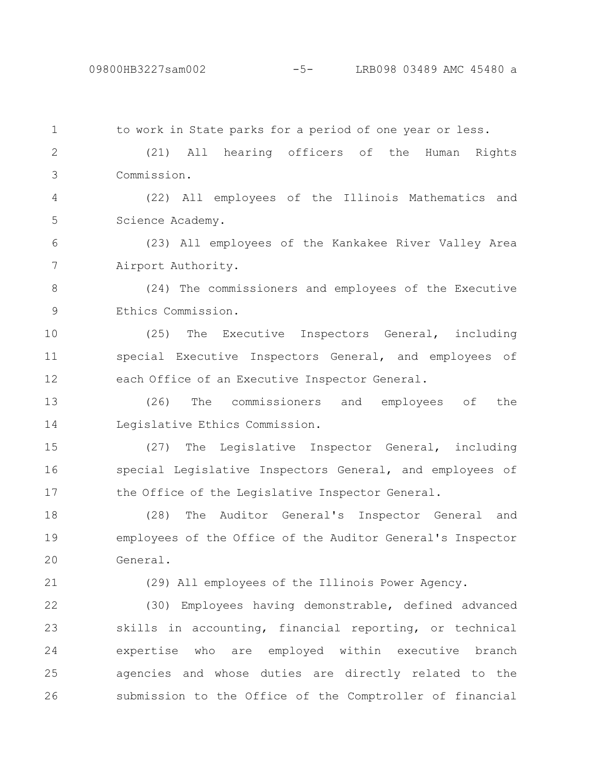to work in State parks for a period of one year or less. (21) All hearing officers of the Human Rights Commission. (22) All employees of the Illinois Mathematics and Science Academy. (23) All employees of the Kankakee River Valley Area Airport Authority. (24) The commissioners and employees of the Executive Ethics Commission. (25) The Executive Inspectors General, including special Executive Inspectors General, and employees of each Office of an Executive Inspector General. (26) The commissioners and employees of the Legislative Ethics Commission. (27) The Legislative Inspector General, including special Legislative Inspectors General, and employees of the Office of the Legislative Inspector General. (28) The Auditor General's Inspector General and employees of the Office of the Auditor General's Inspector General. (29) All employees of the Illinois Power Agency. (30) Employees having demonstrable, defined advanced skills in accounting, financial reporting, or technical expertise who are employed within executive branch agencies and whose duties are directly related to the submission to the Office of the Comptroller of financial 1 2 3 4 5 6 7 8 9 10 11 12 13 14 15 16 17 18 19 20 21 22 23 24 25 26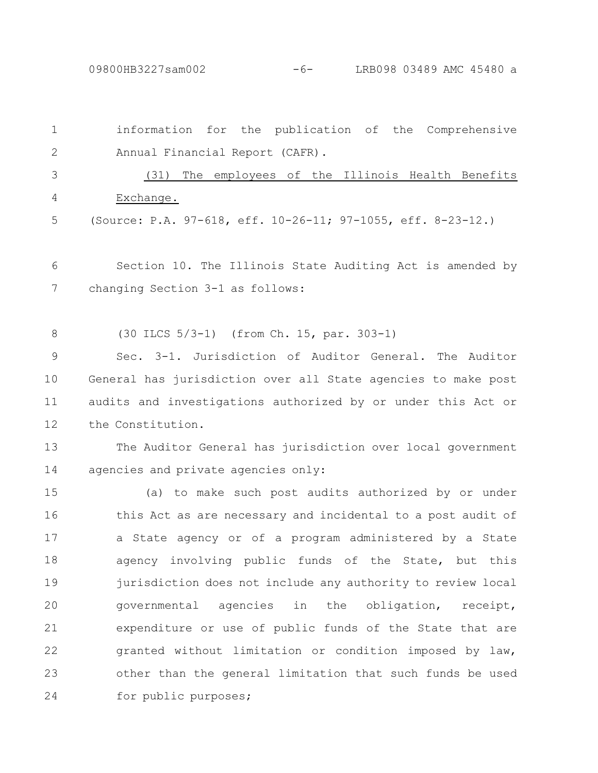09800HB3227sam002 -6- LRB098 03489 AMC 45480 a

| $\mathbf 1$  | information for the publication of the Comprehensive          |
|--------------|---------------------------------------------------------------|
| $\mathbf{2}$ | Annual Financial Report (CAFR).                               |
| 3            | The employees of the Illinois Health Benefits<br>(31)         |
| 4            | Exchange.                                                     |
| 5            | (Source: P.A. 97-618, eff. 10-26-11; 97-1055, eff. 8-23-12.)  |
| 6            | Section 10. The Illinois State Auditing Act is amended by     |
| 7            | changing Section 3-1 as follows:                              |
| 8            | (30 ILCS 5/3-1) (from Ch. 15, par. 303-1)                     |
| 9            | Sec. 3-1. Jurisdiction of Auditor General. The Auditor        |
| 10           | General has jurisdiction over all State agencies to make post |
| 11           | audits and investigations authorized by or under this Act or  |
| 12           | the Constitution.                                             |
| 13           | The Auditor General has jurisdiction over local government    |
| 14           | agencies and private agencies only:                           |
| 15           | (a) to make such post audits authorized by or under           |
| 16           | this Act as are necessary and incidental to a post audit of   |
| 17           | a State agency or of a program administered by a State        |
| 18           | agency involving public funds of the State, but this          |
| 19           | jurisdiction does not include any authority to review local   |
| 20           | governmental<br>agencies in the obligation,<br>receipt,       |
| 21           | expenditure or use of public funds of the State that are      |
| 22           | granted without limitation or condition imposed by law,       |
| 23           | other than the general limitation that such funds be used     |
| 24           | for public purposes;                                          |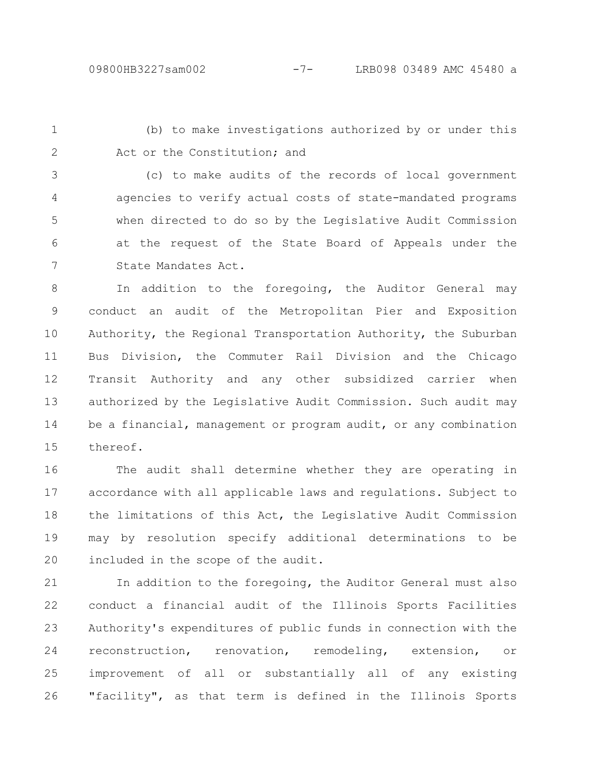1 2

(b) to make investigations authorized by or under this Act or the Constitution; and

(c) to make audits of the records of local government agencies to verify actual costs of state-mandated programs when directed to do so by the Legislative Audit Commission at the request of the State Board of Appeals under the State Mandates Act. 3 4 5 6 7

In addition to the foregoing, the Auditor General may conduct an audit of the Metropolitan Pier and Exposition Authority, the Regional Transportation Authority, the Suburban Bus Division, the Commuter Rail Division and the Chicago Transit Authority and any other subsidized carrier when authorized by the Legislative Audit Commission. Such audit may be a financial, management or program audit, or any combination thereof. 8 9 10 11 12 13 14 15

The audit shall determine whether they are operating in accordance with all applicable laws and regulations. Subject to the limitations of this Act, the Legislative Audit Commission may by resolution specify additional determinations to be included in the scope of the audit. 16 17 18 19 20

In addition to the foregoing, the Auditor General must also conduct a financial audit of the Illinois Sports Facilities Authority's expenditures of public funds in connection with the reconstruction, renovation, remodeling, extension, or improvement of all or substantially all of any existing "facility", as that term is defined in the Illinois Sports 21 22 23 24 25 26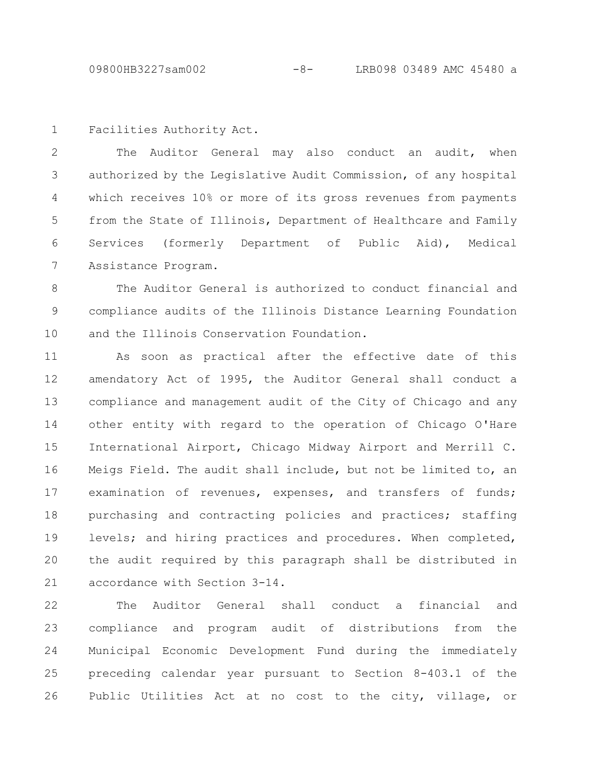Facilities Authority Act. 1

The Auditor General may also conduct an audit, when authorized by the Legislative Audit Commission, of any hospital which receives 10% or more of its gross revenues from payments from the State of Illinois, Department of Healthcare and Family Services (formerly Department of Public Aid), Medical Assistance Program. 2 3 4 5 6 7

The Auditor General is authorized to conduct financial and compliance audits of the Illinois Distance Learning Foundation and the Illinois Conservation Foundation. 8 9 10

As soon as practical after the effective date of this amendatory Act of 1995, the Auditor General shall conduct a compliance and management audit of the City of Chicago and any other entity with regard to the operation of Chicago O'Hare International Airport, Chicago Midway Airport and Merrill C. Meigs Field. The audit shall include, but not be limited to, an examination of revenues, expenses, and transfers of funds; purchasing and contracting policies and practices; staffing levels; and hiring practices and procedures. When completed, the audit required by this paragraph shall be distributed in accordance with Section 3-14. 11 12 13 14 15 16 17 18 19 20 21

The Auditor General shall conduct a financial and compliance and program audit of distributions from the Municipal Economic Development Fund during the immediately preceding calendar year pursuant to Section 8-403.1 of the Public Utilities Act at no cost to the city, village, or 22 23 24 25 26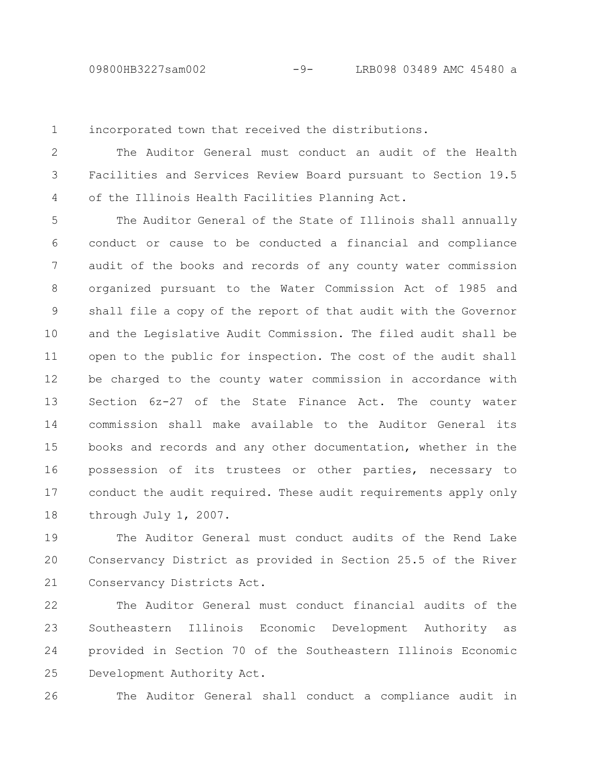incorporated town that received the distributions. 1

The Auditor General must conduct an audit of the Health Facilities and Services Review Board pursuant to Section 19.5 of the Illinois Health Facilities Planning Act. 2 3 4

The Auditor General of the State of Illinois shall annually conduct or cause to be conducted a financial and compliance audit of the books and records of any county water commission organized pursuant to the Water Commission Act of 1985 and shall file a copy of the report of that audit with the Governor and the Legislative Audit Commission. The filed audit shall be open to the public for inspection. The cost of the audit shall be charged to the county water commission in accordance with Section 6z-27 of the State Finance Act. The county water commission shall make available to the Auditor General its books and records and any other documentation, whether in the possession of its trustees or other parties, necessary to conduct the audit required. These audit requirements apply only through July 1, 2007. 5 6 7 8 9 10 11 12 13 14 15 16 17 18

The Auditor General must conduct audits of the Rend Lake Conservancy District as provided in Section 25.5 of the River Conservancy Districts Act. 19 20 21

The Auditor General must conduct financial audits of the Southeastern Illinois Economic Development Authority as provided in Section 70 of the Southeastern Illinois Economic Development Authority Act. 22 23 24 25

26

The Auditor General shall conduct a compliance audit in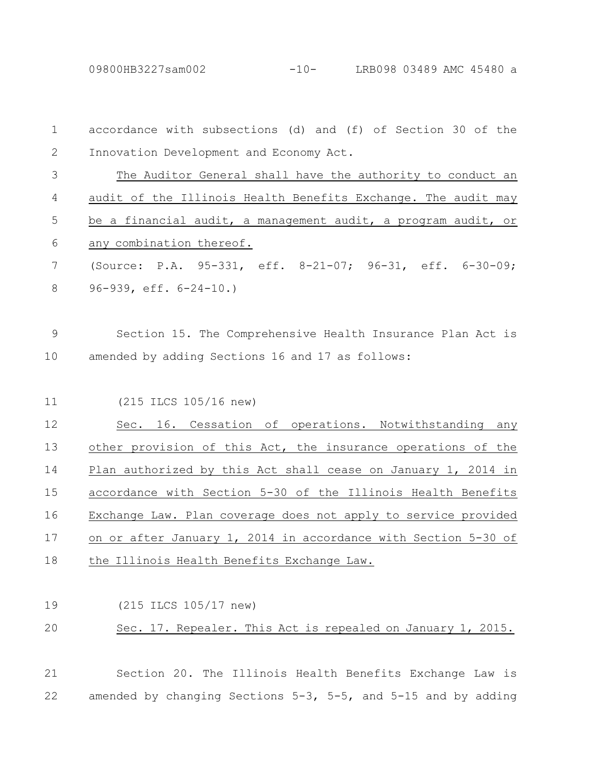09800HB3227sam002 -10- LRB098 03489 AMC 45480 a

| $\mathbf 1$ | accordance with subsections (d) and (f) of Section 30 of the   |
|-------------|----------------------------------------------------------------|
| 2           | Innovation Development and Economy Act.                        |
| 3           | The Auditor General shall have the authority to conduct an     |
| 4           | audit of the Illinois Health Benefits Exchange. The audit may  |
| 5           | be a financial audit, a management audit, a program audit, or  |
| 6           | any combination thereof.                                       |
| 7           | (Source: P.A. 95-331, eff. 8-21-07; 96-31, eff. 6-30-09;       |
| 8           | $96-939$ , eff. $6-24-10.$ )                                   |
| $\mathsf 9$ | Section 15. The Comprehensive Health Insurance Plan Act is     |
| 10          | amended by adding Sections 16 and 17 as follows:               |
| 11          | (215 ILCS 105/16 new)                                          |
| 12          | Sec. 16. Cessation of operations. Notwithstanding any          |
| 13          | other provision of this Act, the insurance operations of the   |
| 14          | Plan authorized by this Act shall cease on January 1, 2014 in  |
| 15          | accordance with Section 5-30 of the Illinois Health Benefits   |
| 16          | Exchange Law. Plan coverage does not apply to service provided |
| 17          | on or after January 1, 2014 in accordance with Section 5-30 of |
| 18          | the Illinois Health Benefits Exchange Law.                     |
| 19          | (215 ILCS 105/17 new)                                          |
| 20          | Sec. 17. Repealer. This Act is repealed on January 1, 2015.    |
| 21          | Section 20. The Illinois Health Benefits Exchange Law is       |

amended by changing Sections 5-3, 5-5, and 5-15 and by adding 22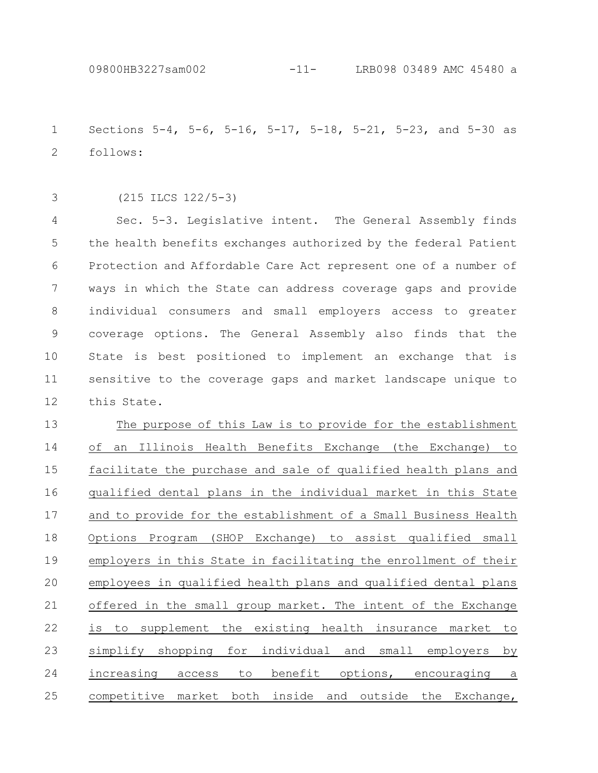Sections 5-4, 5-6, 5-16, 5-17, 5-18, 5-21, 5-23, and 5-30 as follows: 1 2

3

(215 ILCS 122/5-3)

Sec. 5-3. Legislative intent. The General Assembly finds the health benefits exchanges authorized by the federal Patient Protection and Affordable Care Act represent one of a number of ways in which the State can address coverage gaps and provide individual consumers and small employers access to greater coverage options. The General Assembly also finds that the State is best positioned to implement an exchange that is sensitive to the coverage gaps and market landscape unique to this State. 4 5 6 7 8 9 10 11 12

The purpose of this Law is to provide for the establishment of an Illinois Health Benefits Exchange (the Exchange) to facilitate the purchase and sale of qualified health plans and qualified dental plans in the individual market in this State and to provide for the establishment of a Small Business Health Options Program (SHOP Exchange) to assist qualified small employers in this State in facilitating the enrollment of their employees in qualified health plans and qualified dental plans offered in the small group market. The intent of the Exchange is to supplement the existing health insurance market to simplify shopping for individual and small employers by increasing access to benefit options, encouraging a competitive market both inside and outside the Exchange, 13 14 15 16 17 18 19 20 21 22 23 24 25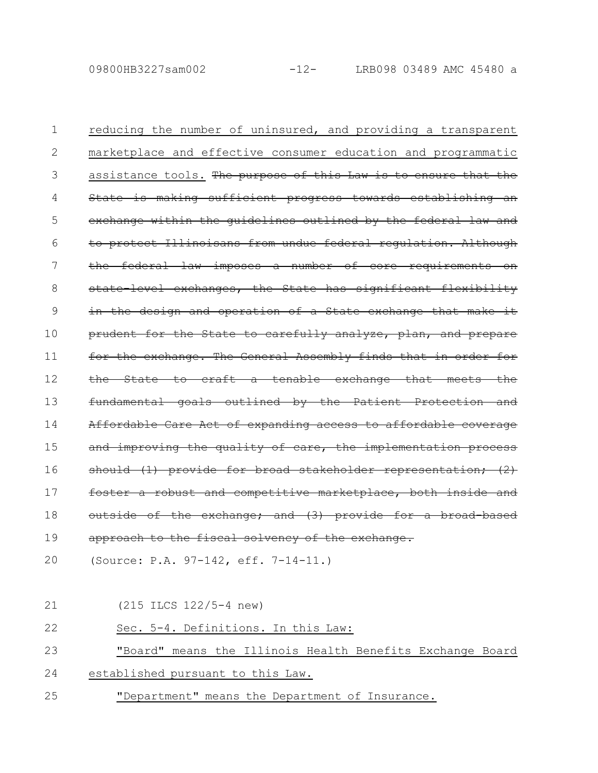09800HB3227sam002 -12- LRB098 03489 AMC 45480 a

reducing the number of uninsured, and providing a transparent marketplace and effective consumer education and programmatic assistance tools. The purpose of this Law is to ensure that the State is making sufficient progress towards establishing exchange within the guidelines outlined by the federal protect Illinoisans from undue federal regulation. Although the federal law imposes a number of core requirements state level exchanges, the State has significant flexibility in the design and operation of a State exchange that make prudent for the State to carefully analyze, plan, and prepare for the exchange. The General Assembly finds that in order the State to craft a tenable exchange that meets the fundamental goals outlined by the Patient Prote Affordable Care Act of expanding access to affordable improving the quality of care, the implementati should (1) provide for broad stakeholder representation; (2) foster a robust and competitive marketplace, both inside outside of the exchange; and (3) provide for a broad-based approach to the fiscal solvency of the exchange. 1 2 3 4 5 6 7 8 9 10 11 12 13 14 15 16 17 18 19

(Source: P.A. 97-142, eff. 7-14-11.) 20

(215 ILCS 122/5-4 new) 21

Sec. 5-4. Definitions. In this Law: 22

"Board" means the Illinois Health Benefits Exchange Board 23

- established pursuant to this Law. 24
- "Department" means the Department of Insurance. 25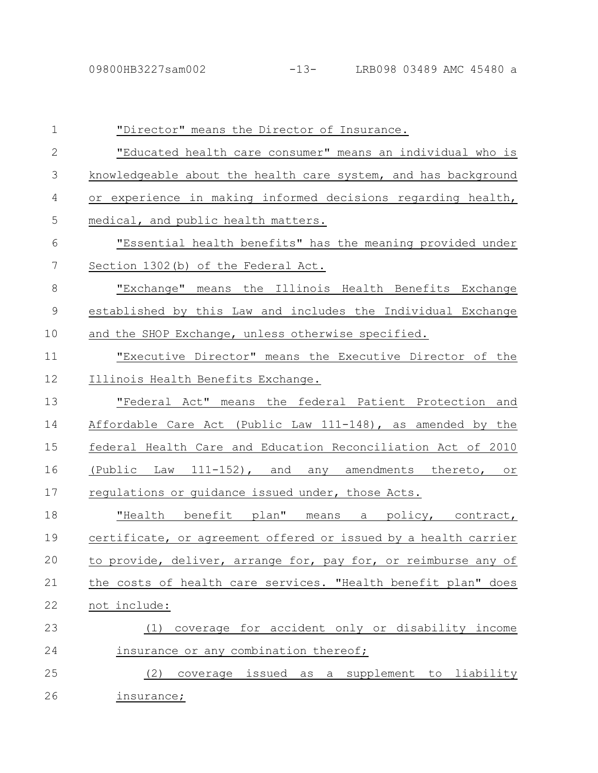| $\mathbf 1$    | "Director" means the Director of Insurance.                     |
|----------------|-----------------------------------------------------------------|
| $\overline{2}$ | "Educated health care consumer" means an individual who is      |
| 3              | knowledgeable about the health care system, and has background  |
| 4              | or experience in making informed decisions regarding health,    |
| 5              | medical, and public health matters.                             |
| 6              | "Essential health benefits" has the meaning provided under      |
| 7              | Section 1302 (b) of the Federal Act.                            |
| $8\,$          | "Exchange" means the Illinois Health Benefits Exchange          |
| $\mathcal{G}$  | established by this Law and includes the Individual Exchange    |
| 10             | and the SHOP Exchange, unless otherwise specified.              |
| 11             | "Executive Director" means the Executive Director of the        |
| 12             | Illinois Health Benefits Exchange.                              |
| 13             | "Federal Act" means the federal Patient Protection and          |
| 14             | Affordable Care Act (Public Law $111-148$ ), as amended by the  |
| 15             | federal Health Care and Education Reconciliation Act of 2010    |
| 16             | (Public Law 111-152), and any amendments thereto, or            |
| 17             | regulations or guidance issued under, those Acts.               |
| 18             | "Health benefit plan" means a policy, contract,                 |
| 19             | certificate, or agreement offered or issued by a health carrier |
| 20             | to provide, deliver, arrange for, pay for, or reimburse any of  |
| 21             | the costs of health care services. "Health benefit plan" does   |
| 22             | not include:                                                    |
| 23             | coverage for accident only or disability income<br>(1)          |
| 24             | insurance or any combination thereof;                           |
| 25             | coverage issued as a supplement to liability<br>(2)             |
| 26             | <u>insurance;</u>                                               |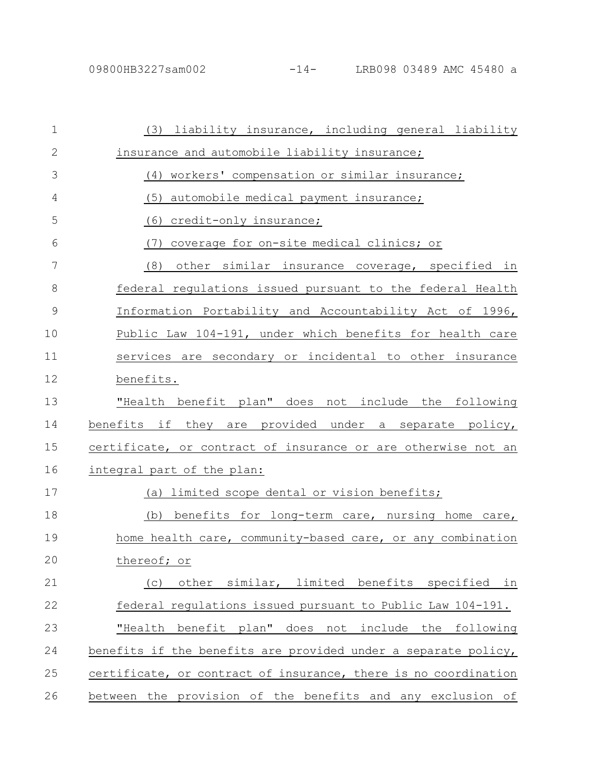| $\mathbf 1$   | (3) liability insurance, including general liability            |
|---------------|-----------------------------------------------------------------|
| $\mathbf{2}$  | insurance and automobile liability insurance;                   |
| 3             | (4) workers' compensation or similar insurance;                 |
| 4             | (5)<br>automobile medical payment insurance;                    |
| 5             | credit-only insurance;<br>(6)                                   |
| 6             | coverage for on-site medical clinics; or<br>(7)                 |
| 7             | (8)<br>other similar insurance coverage, specified in           |
| 8             | federal regulations issued pursuant to the federal Health       |
| $\mathcal{G}$ | Information Portability and Accountability Act of 1996,         |
| 10            | Public Law 104-191, under which benefits for health care        |
| 11            | services are secondary or incidental to other insurance         |
| 12            | benefits.                                                       |
| 13            | "Health benefit plan" does not include the following            |
| 14            | benefits if they are provided under a separate policy,          |
| 15            | certificate, or contract of insurance or are otherwise not an   |
| 16            | integral part of the plan:                                      |
| 17            | (a) limited scope dental or vision benefits;                    |
| 18            | (b) benefits for long-term care, nursing home care,             |
| 19            | home health care, community-based care, or any combination      |
| 20            | thereof; or                                                     |
| 21            | similar, limited benefits specified in<br>other<br>(C)          |
| 22            | federal regulations issued pursuant to Public Law 104-191.      |
| 23            | "Health benefit plan" does not include the following            |
| 24            | benefits if the benefits are provided under a separate policy,  |
| 25            | certificate, or contract of insurance, there is no coordination |
| 26            | between the provision of the benefits and any exclusion of      |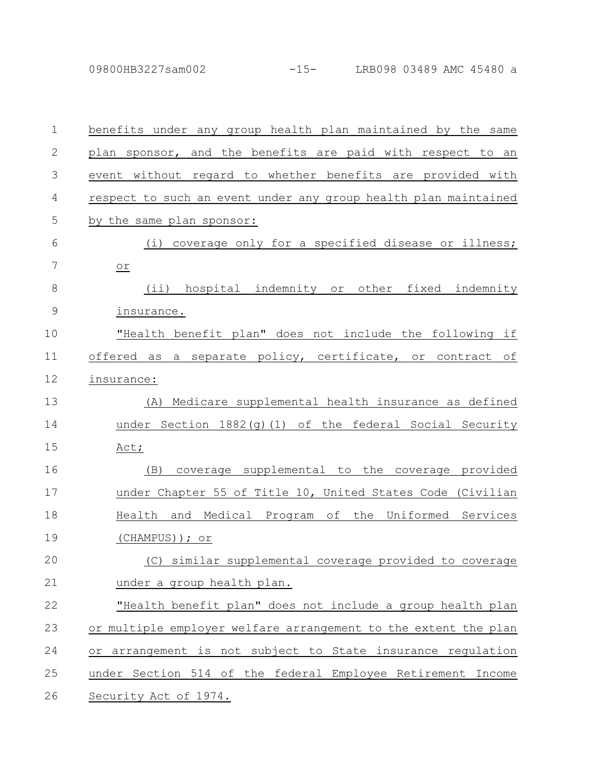| $\mathbf 1$   | benefits under any group health plan maintained by the same     |
|---------------|-----------------------------------------------------------------|
| $\mathbf{2}$  | plan sponsor, and the benefits are paid with respect to an      |
| 3             | event without regard to whether benefits are provided with      |
| 4             | respect to such an event under any group health plan maintained |
| 5             | by the same plan sponsor:                                       |
| 6             | coverage only for a specified disease or illness;<br>(i)        |
| 7             | $or$                                                            |
| $8\,$         | (ii) hospital indemnity or other fixed indemnity                |
| $\mathcal{G}$ | insurance.                                                      |
| 10            | "Health benefit plan" does not include the following if         |
| 11            | offered as a separate policy, certificate, or contract<br>оf    |
| 12            | insurance:                                                      |
| 13            | Medicare supplemental health insurance as defined<br>(A)        |
| 14            | under Section $1882(q)(1)$ of the federal Social Security       |
| 15            | Act;                                                            |
| 16            | coverage supplemental to the coverage provided<br>(B)           |
| 17            | under Chapter 55 of Title 10, United States Code (Civilian      |
| 18            | Health and Medical Program of the Uniformed Services            |
| 19            | (CHAMPUS)); or                                                  |
| 20            | (C) similar_supplemental coverage provided to coverage          |
| 21            | under a group health plan.                                      |
| 22            | "Health benefit plan" does not include a group health plan      |
| 23            | or multiple employer welfare arrangement to the extent the plan |
| 24            | or arrangement is not subject to State insurance regulation     |
| 25            | under Section 514 of the federal Employee Retirement Income     |
| 26            | Security Act of 1974.                                           |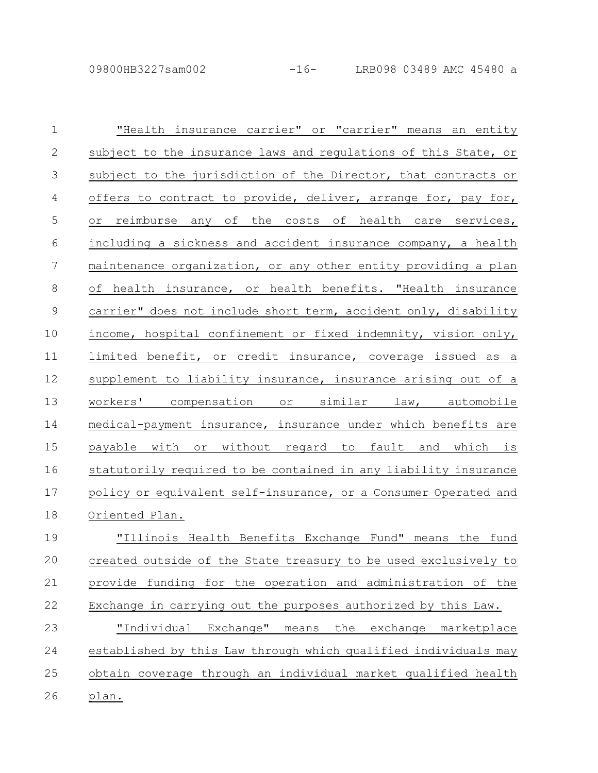| $\mathbf 1$   | "Health insurance carrier" or "carrier" means an entity         |
|---------------|-----------------------------------------------------------------|
| $\mathbf{2}$  | subject to the insurance laws and regulations of this State, or |
| 3             | subject to the jurisdiction of the Director, that contracts or  |
| 4             | offers to contract to provide, deliver, arrange for, pay for,   |
| 5             | or reimburse any of the costs of health care services,          |
| 6             | including a sickness and accident insurance company, a health   |
| 7             | maintenance organization, or any other entity providing a plan  |
| 8             | of health insurance, or health benefits. "Health insurance      |
| $\mathcal{G}$ | carrier" does not include short term, accident only, disability |
| 10            | income, hospital confinement or fixed indemnity, vision only,   |
| 11            | limited benefit, or credit insurance, coverage issued as a      |
| 12            | supplement to liability insurance, insurance arising out of a   |
| 13            | workers' compensation or similar law, automobile                |
| 14            | medical-payment insurance, insurance under which benefits are   |
| 15            | payable with or without regard to fault and which is            |
| 16            | statutorily required to be contained in any liability insurance |
| 17            | policy or equivalent self-insurance, or a Consumer Operated and |
| 18            | Oriented Plan.                                                  |
| 19            | "Illinois Health Benefits Exchange Fund" means the fund         |
| 20            | created outside of the State treasury to be used exclusively to |
| 21            | provide funding for the operation and administration of the     |
| 22            | Exchange in carrying out the purposes authorized by this Law.   |
| 23            | "Individual Exchange" means<br>the exchange marketplace         |
| 24            | established by this Law through which qualified individuals may |
| 25            | obtain coverage through an individual market qualified health   |
| 26            | plan.                                                           |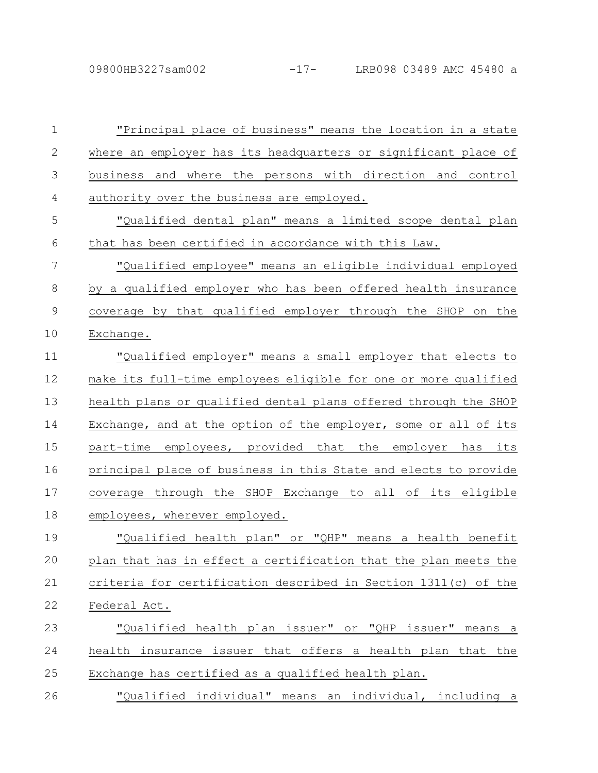| $\mathbf 1$   | "Principal place of business" means the location in a state     |
|---------------|-----------------------------------------------------------------|
| $\mathbf{2}$  | where an employer has its headquarters or significant place of  |
| 3             | business and where the persons with direction and control       |
| 4             | authority over the business are employed.                       |
| 5             | "Qualified dental plan" means a limited scope dental plan       |
| 6             | that has been certified in accordance with this Law.            |
| 7             | "Qualified employee" means an eligible individual employed      |
| 8             | by a qualified employer who has been offered health insurance   |
| $\mathcal{G}$ | coverage by that qualified employer through the SHOP on the     |
| 10            | Exchange.                                                       |
| 11            | "Qualified employer" means a small employer that elects to      |
| 12            | make its full-time employees eligible for one or more qualified |
| 13            | health plans or qualified dental plans offered through the SHOP |
| 14            | Exchange, and at the option of the employer, some or all of its |
| 15            | part-time employees, provided that the employer has<br>its      |
| 16            | principal place of business in this State and elects to provide |
| 17            | coverage through the SHOP Exchange to all of its eligible       |
| 18            | employees, wherever employed.                                   |
| 19            | "Qualified health plan" or "QHP" means a health benefit         |
| 20            | plan that has in effect a certification that the plan meets the |
| 21            | criteria for certification described in Section 1311(c) of the  |
| 22            | Federal Act.                                                    |
| 23            | "Qualified health plan issuer" or "QHP issuer" means a          |
| 24            | health insurance issuer that offers a health plan that the      |
| 25            | Exchange has certified as a qualified health plan.              |
| 26            | "Qualified individual" means an individual, including a         |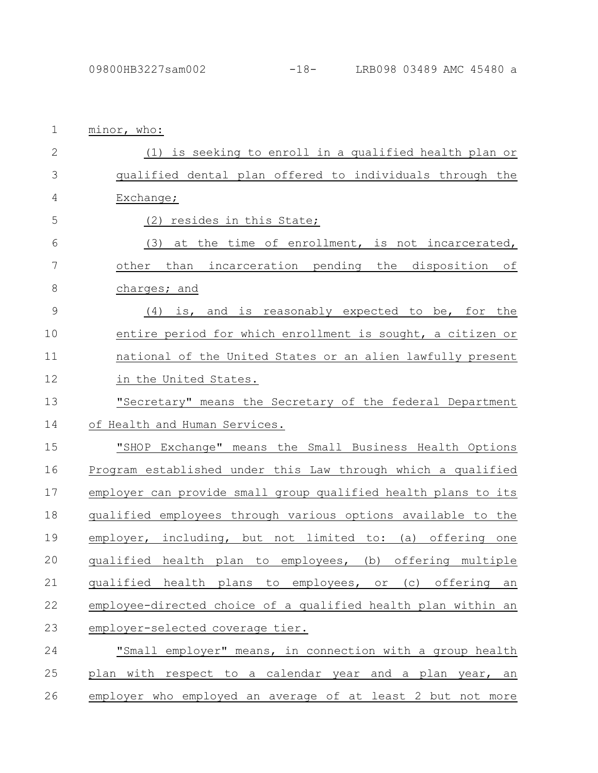| 1             | minor, who:                                                    |
|---------------|----------------------------------------------------------------|
| $\mathbf{2}$  | (1) is seeking to enroll in a qualified health plan or         |
| 3             | qualified dental plan offered to individuals through the       |
| 4             | Exchange;                                                      |
| 5             | (2) resides in this State;                                     |
| 6             | (3) at the time of enrollment, is not incarcerated,            |
| 7             | other than incarceration pending the disposition of            |
| $\,8\,$       | charges; and                                                   |
| $\mathcal{G}$ | (4) is, and is reasonably expected to be, for the              |
| 10            | entire period for which enrollment is sought, a citizen or     |
| 11            | national of the United States or an alien lawfully present     |
| 12            | in the United States.                                          |
| 13            | "Secretary" means the Secretary of the federal Department      |
| 14            | of Health and Human Services.                                  |
| 15            | "SHOP Exchange" means the Small Business Health Options        |
| 16            | Program established under this Law through which a qualified   |
| 17            | employer can provide small group qualified health plans to its |
| 18            | qualified employees through various options available to the   |
| 19            | employer, including, but not limited to: (a) offering one      |
| 20            | qualified health plan to employees, (b) offering multiple      |
| 21            | qualified health plans to employees, or (c) offering<br>an     |
| 22            | employee-directed choice of a qualified health plan within an  |
| 23            | employer-selected coverage tier.                               |
| 24            | "Small employer" means, in connection with a group health      |
| 25            | plan with respect to a calendar year and a plan year, an       |
| 26            | employer who employed an average of at least 2 but not more    |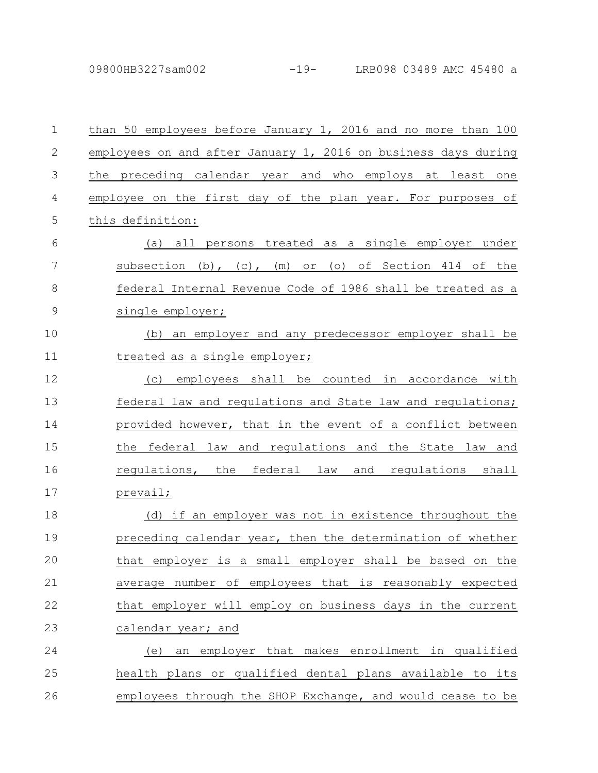## 09800HB3227sam002 -19- LRB098 03489 AMC 45480 a

| $\mathbf 1$    | than 50 employees before January 1, 2016 and no more than 100  |
|----------------|----------------------------------------------------------------|
| $\mathbf{2}$   | employees on and after January 1, 2016 on business days during |
| 3              | the preceding calendar year and who employs at least one       |
| 4              | employee on the first day of the plan year. For purposes of    |
| 5              | this definition:                                               |
| 6              | (a) all persons treated as a single employer under             |
| 7              | subsection (b), (c), (m) or (o) of Section 414 of the          |
| 8              | federal Internal Revenue Code of 1986 shall be treated as a    |
| $\overline{9}$ | single employer;                                               |
| 10             | an employer and any predecessor employer shall be<br>(b)       |
| 11             | treated as a single employer;                                  |
| 12             | employees shall be counted in accordance with<br>(C)           |
| 13             | federal law and regulations and State law and regulations;     |
| 14             | provided however, that in the event of a conflict between      |
| 15             | the federal law and regulations and the State law and          |
| 16             | regulations, the federal law and regulations shall             |
| 17             | prevail;                                                       |
| 18             | (d) if an employer was not in existence throughout the         |
| 19             | preceding calendar year, then the determination of whether     |
| 20             | that employer is a small employer shall be based on the        |
| 21             | average number of employees that is reasonably expected        |
| 22             | that employer will employ on business days in the current      |
| 23             | calendar year; and                                             |
| 24             | an employer that makes enrollment in qualified<br>(e)          |
| 25             | health plans or qualified dental plans available to its        |
| 26             | employees through the SHOP Exchange, and would cease to be     |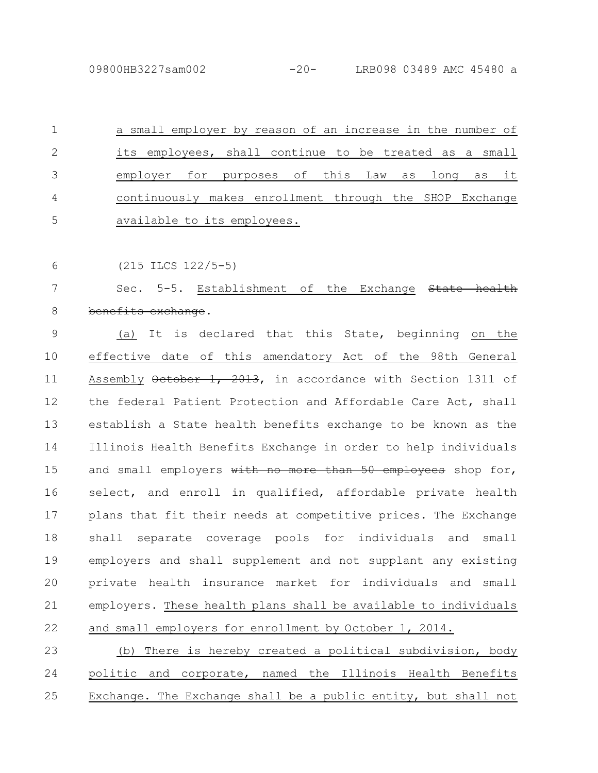a small employer by reason of an increase in the number of its employees, shall continue to be treated as a small employer for purposes of this Law as long as it continuously makes enrollment through the SHOP Exchange available to its employees. 1 2 3 4 5

(215 ILCS 122/5-5) 6

Sec. 5-5. Establishment of the Exchange State benefits exchange. 7 8

(a) It is declared that this State, beginning on the effective date of this amendatory Act of the 98th General Assembly October 1, 2013, in accordance with Section 1311 of the federal Patient Protection and Affordable Care Act, shall establish a State health benefits exchange to be known as the Illinois Health Benefits Exchange in order to help individuals and small employers with no more than 50 employees shop for, select, and enroll in qualified, affordable private health plans that fit their needs at competitive prices. The Exchange shall separate coverage pools for individuals and small employers and shall supplement and not supplant any existing private health insurance market for individuals and small employers. These health plans shall be available to individuals and small employers for enrollment by October 1, 2014. 9 10 11 12 13 14 15 16 17 18 19 20 21 22

(b) There is hereby created a political subdivision, body politic and corporate, named the Illinois Health Benefits Exchange. The Exchange shall be a public entity, but shall not 23 24 25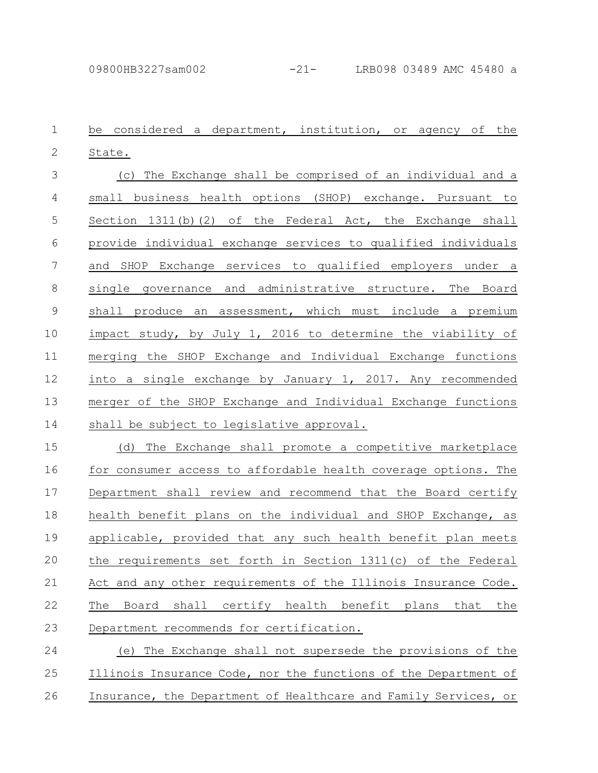be considered a department, institution, or agency of the State. 1 2

(c) The Exchange shall be comprised of an individual and a small business health options (SHOP) exchange. Pursuant to Section  $1311(b)(2)$  of the Federal Act, the Exchange shall provide individual exchange services to qualified individuals and SHOP Exchange services to qualified employers under a single governance and administrative structure. The Board shall produce an assessment, which must include a premium impact study, by July 1, 2016 to determine the viability of merging the SHOP Exchange and Individual Exchange functions into a single exchange by January 1, 2017. Any recommended merger of the SHOP Exchange and Individual Exchange functions shall be subject to legislative approval. 3 4 5 6 7 8 9 10 11 12 13 14

(d) The Exchange shall promote a competitive marketplace for consumer access to affordable health coverage options. The Department shall review and recommend that the Board certify health benefit plans on the individual and SHOP Exchange, as applicable, provided that any such health benefit plan meets the requirements set forth in Section 1311(c) of the Federal Act and any other requirements of the Illinois Insurance Code. The Board shall certify health benefit plans that the Department recommends for certification. 15 16 17 18 19 20 21 22 23

(e) The Exchange shall not supersede the provisions of the Illinois Insurance Code, nor the functions of the Department of Insurance, the Department of Healthcare and Family Services, or 24 25 26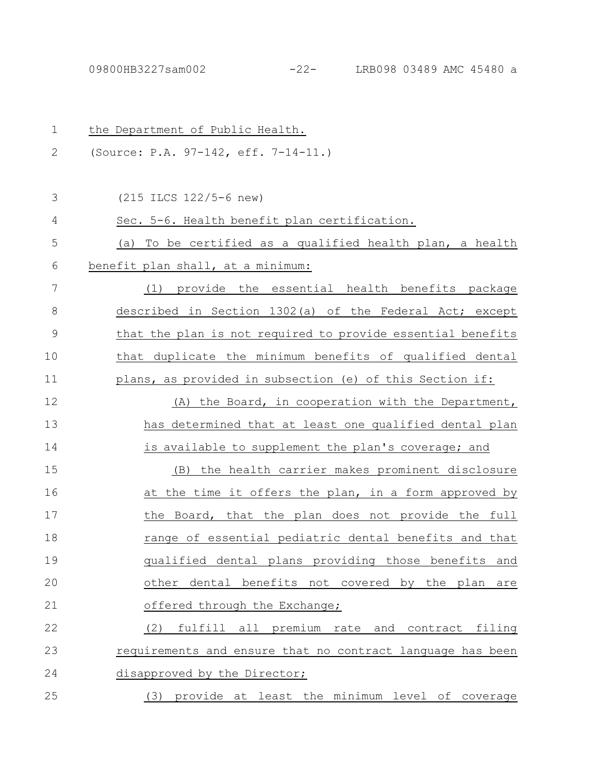| $\mathbf 1$   | the Department of Public Health.                            |
|---------------|-------------------------------------------------------------|
| 2             | (Source: P.A. 97-142, eff. 7-14-11.)                        |
|               |                                                             |
| 3             | $(215$ ILCS $122/5-6$ new)                                  |
| 4             | Sec. 5-6. Health benefit plan certification.                |
| 5             | (a) To be certified as a qualified health plan, a health    |
| 6             | benefit plan shall, at a minimum:                           |
| 7             | (1) provide the essential health benefits package           |
| 8             | described in Section 1302(a) of the Federal Act; except     |
| $\mathcal{G}$ | that the plan is not required to provide essential benefits |
| 10            | that duplicate the minimum benefits of qualified dental     |
| 11            | plans, as provided in subsection (e) of this Section if:    |
| 12            | the Board, in cooperation with the Department,<br>(A)       |
| 13            | has determined that at least one qualified dental plan      |
| 14            | is available to supplement the plan's coverage; and         |
| 15            | (B) the health carrier makes prominent disclosure           |
| 16            | at the time it offers the plan, in a form approved by       |
| 17            | the Board, that the plan does not provide the full          |
| 18            | range of essential pediatric dental benefits and that       |
| 19            | qualified dental plans providing those benefits and         |
| 20            | other dental benefits not covered by the plan<br>are        |
| 21            | offered through the Exchange;                               |
| 22            | fulfill all premium rate and contract filing<br>(2)         |
| 23            | requirements and ensure that no contract language has been  |
| 24            | disapproved by the Director;                                |
| 25            | provide at least the minimum level of coverage<br>(3)       |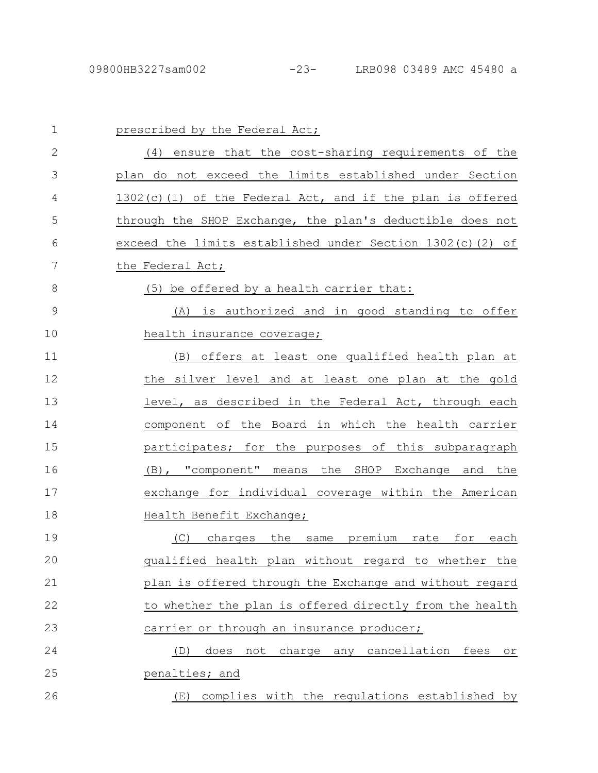| $\mathbf 1$  | prescribed by the Federal Act;                              |
|--------------|-------------------------------------------------------------|
| $\mathbf{2}$ | (4) ensure that the cost-sharing requirements of the        |
| 3            | plan do not exceed the limits established under Section     |
| 4            | 1302(c)(1) of the Federal Act, and if the plan is offered   |
| 5            | through the SHOP Exchange, the plan's deductible does not   |
| 6            | exceed the limits established under Section 1302(c)(2) of   |
| 7            | the Federal Act;                                            |
| 8            | (5) be offered by a health carrier that:                    |
| 9            | (A) is authorized and in good standing to offer             |
| 10           | health insurance coverage;                                  |
| 11           | (B) offers at least one qualified health plan at            |
| 12           | the silver level and at least one plan at the gold          |
| 13           | level, as described in the Federal Act, through each        |
| 14           | component of the Board in which the health carrier          |
| 15           | participates; for the purposes of this subparagraph         |
| 16           | (B), "component" means the SHOP Exchange and the            |
| 17           | exchange for individual coverage within the American        |
| 18           | Health Benefit Exchange;                                    |
| 19           | the<br>same premium rate for<br>each<br>(C)<br>charges      |
| 20           | qualified health plan without regard to whether the         |
| 21           | plan is offered through the Exchange and without regard     |
| 22           | to whether the plan is offered directly from the health     |
| 23           | carrier or through an insurance producer;                   |
| 24           | does<br>charge any cancellation<br>(D)<br>not<br>fees<br>or |
| 25           | penalties; and                                              |
| 26           | complies with the regulations established by<br>(E)         |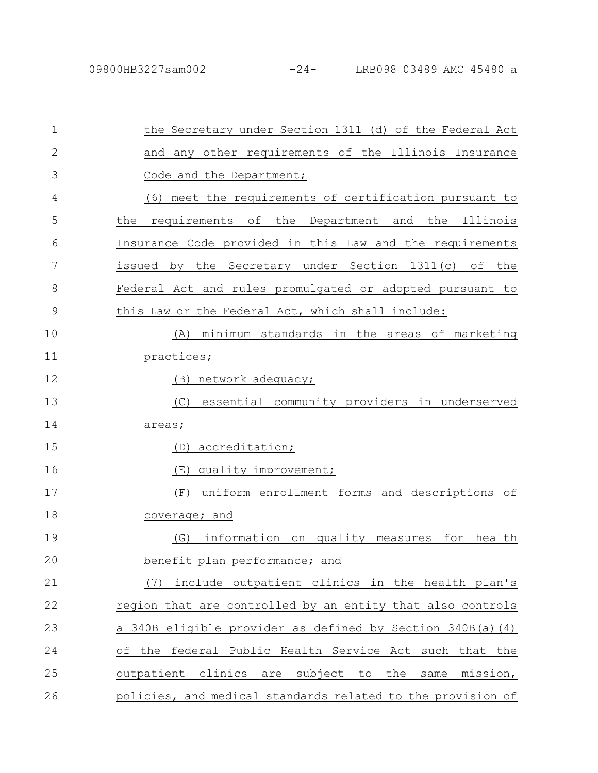| 1            | the Secretary under Section 1311 (d) of the Federal Act     |
|--------------|-------------------------------------------------------------|
| $\mathbf{2}$ | and any other requirements of the Illinois Insurance        |
| 3            | Code and the Department;                                    |
| 4            | meet the requirements of certification pursuant to<br>(6)   |
| 5            | the<br>requirements<br>of the Department and the Illinois   |
| 6            | Insurance Code provided in this Law and the requirements    |
| 7            | issued by the Secretary under Section 1311(c) of the        |
| 8            | Federal Act and rules promulgated or adopted pursuant to    |
| 9            | this Law or the Federal Act, which shall include:           |
| 10           | minimum standards in the areas of marketing<br>(A)          |
| 11           | practices;                                                  |
| 12           | (B) network adequacy;                                       |
| 13           | essential community providers in underserved<br>(C)         |
| 14           | areas;                                                      |
| 15           | accreditation;<br>(D)                                       |
| 16           | quality improvement;<br>(E)                                 |
| 17           | uniform enrollment forms and descriptions of<br>(F)         |
| 18           | coverage; and                                               |
| 19           | information on quality measures for health<br>(G)           |
| 20           | benefit plan performance; and                               |
| 21           | include outpatient clinics in the health plan's<br>(7)      |
| 22           | region that are controlled by an entity that also controls  |
| 23           | a 340B eligible provider as defined by Section 340B(a)(4)   |
| 24           | of the federal Public Health Service Act such that the      |
| 25           | outpatient clinics are subject to the<br>same<br>mission,   |
| 26           | policies, and medical standards related to the provision of |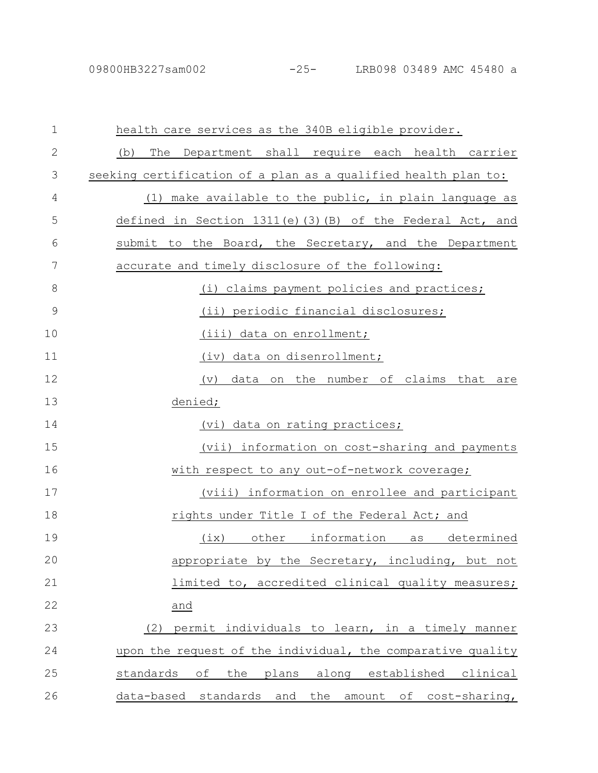| $\mathbf 1$   | health care services as the 340B eligible provider.            |
|---------------|----------------------------------------------------------------|
| $\mathbf{2}$  | (b)<br>The Department shall require each health carrier        |
| 3             | seeking certification of a plan as a qualified health plan to: |
| 4             | (1) make available to the public, in plain language as         |
| 5             | defined in Section $1311(e)$ (3) (B) of the Federal Act, and   |
| 6             | submit to the Board, the Secretary, and the Department         |
| 7             | accurate and timely disclosure of the following:               |
| 8             | (i) claims payment policies and practices;                     |
| $\mathcal{G}$ | (ii) periodic financial disclosures;                           |
| 10            | (iii) data on enrollment;                                      |
| 11            | (iv) data on disenrollment;                                    |
| 12            | data on the number of claims that<br>(v)<br>are                |
| 13            | denied;                                                        |
| 14            | (vi) data on rating practices;                                 |
| 15            | (vii) information on cost-sharing and payments                 |
| 16            | with respect to any out-of-network coverage;                   |
| 17            | (viii) information on enrollee and participant                 |
| 18            | rights under Title I of the Federal Act; and                   |
| 19            | other information as<br>determined<br>(ix)                     |
| 20            | appropriate by the Secretary, including, but not               |
| 21            | limited to, accredited clinical quality measures;              |
| 22            | and                                                            |
| 23            | permit individuals to learn, in a timely manner<br>(2)         |
| 24            | upon the request of the individual, the comparative quality    |
| 25            | standards<br>the<br>plans along established clinical<br>of     |
| 26            | data-based standards and<br>the amount of cost-sharing,        |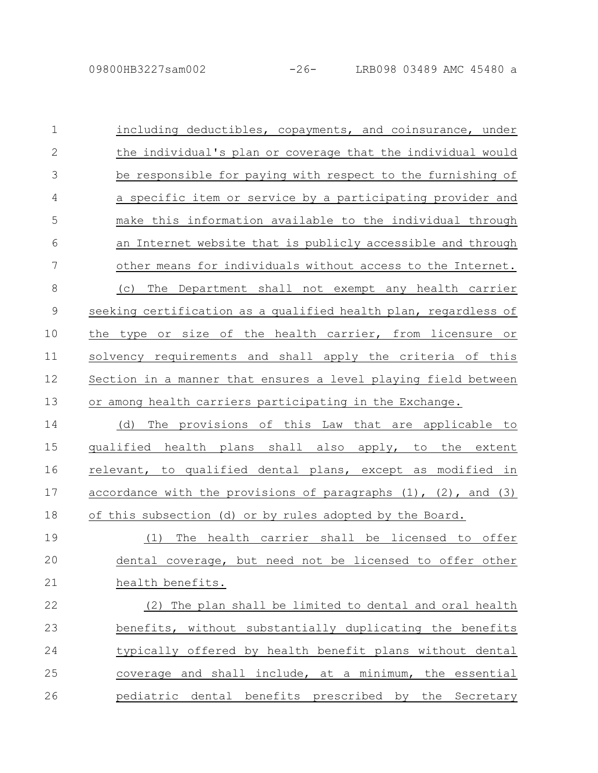including deductibles, copayments, and coinsurance, under the individual's plan or coverage that the individual would be responsible for paying with respect to the furnishing of a specific item or service by a participating provider and make this information available to the individual through an Internet website that is publicly accessible and through other means for individuals without access to the Internet. (c) The Department shall not exempt any health carrier seeking certification as a qualified health plan, regardless of the type or size of the health carrier, from licensure or solvency requirements and shall apply the criteria of this Section in a manner that ensures a level playing field between or among health carriers participating in the Exchange. (d) The provisions of this Law that are applicable to qualified health plans shall also apply, to the extent relevant, to qualified dental plans, except as modified in accordance with the provisions of paragraphs  $(1)$ ,  $(2)$ , and  $(3)$ of this subsection (d) or by rules adopted by the Board. (1) The health carrier shall be licensed to offer dental coverage, but need not be licensed to offer other health benefits. (2) The plan shall be limited to dental and oral health benefits, without substantially duplicating the benefits typically offered by health benefit plans without dental coverage and shall include, at a minimum, the essential pediatric dental benefits prescribed by the Secretary 1 2 3 4 5 6 7 8 9 10 11 12 13 14 15 16 17 18 19 20 21 22 23 24 25 26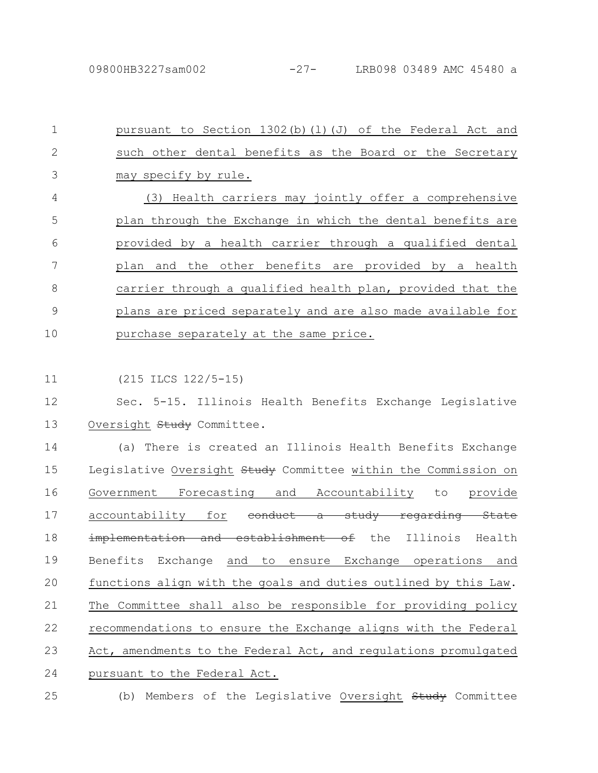pursuant to Section  $1302(b)(1)(J)$  of the Federal Act and such other dental benefits as the Board or the Secretary may specify by rule. (3) Health carriers may jointly offer a comprehensive plan through the Exchange in which the dental benefits are provided by a health carrier through a qualified dental plan and the other benefits are provided by a health carrier through a qualified health plan, provided that the plans are priced separately and are also made available for purchase separately at the same price. 1 2 3 4 5 6 7 8 9 10

(215 ILCS 122/5-15) 11

Sec. 5-15. Illinois Health Benefits Exchange Legislative Oversight Study Committee. 12 13

(a) There is created an Illinois Health Benefits Exchange Legislative Oversight Study Committee within the Commission on Government Forecasting and Accountability to provide accountability for <del>conduct a study regarding State</del> implementation and establishment of the Illinois Health Benefits Exchange and to ensure Exchange operations and functions align with the goals and duties outlined by this Law. The Committee shall also be responsible for providing policy recommendations to ensure the Exchange aligns with the Federal Act, amendments to the Federal Act, and regulations promulgated pursuant to the Federal Act. 14 15 16 17 18 19 20 21 22 23 24

25

(b) Members of the Legislative Oversight Study Committee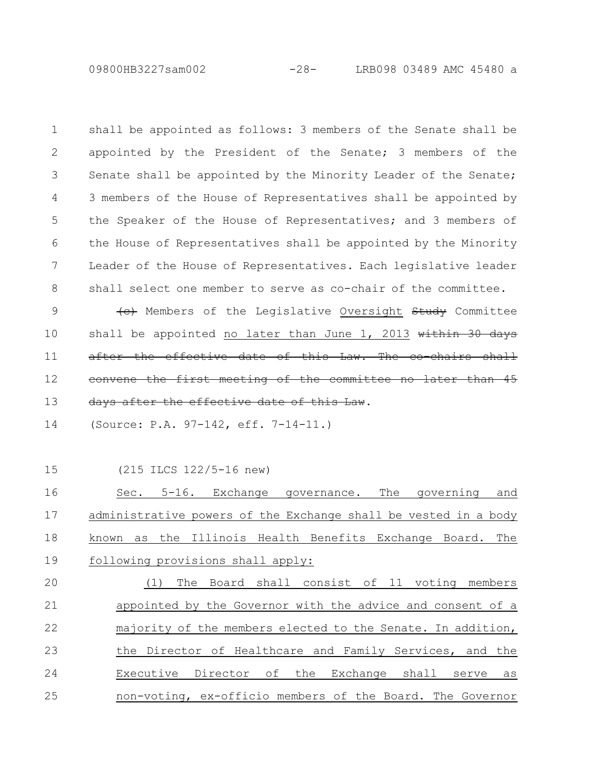09800HB3227sam002 -28- LRB098 03489 AMC 45480 a

shall be appointed as follows: 3 members of the Senate shall be appointed by the President of the Senate; 3 members of the Senate shall be appointed by the Minority Leader of the Senate; 3 members of the House of Representatives shall be appointed by the Speaker of the House of Representatives; and 3 members of the House of Representatives shall be appointed by the Minority Leader of the House of Representatives. Each legislative leader shall select one member to serve as co-chair of the committee. 1 2 3 4 5 6 7 8

(e) Members of the Legislative Oversight Study Committee shall be appointed no later than June  $1, 2013$  within 30 days after the effective date of this Law. The convene the first meeting of the committee no later than 45 days after the effective date of this Law. 9 10 11 12 13

(Source: P.A. 97-142, eff. 7-14-11.) 14

15

(215 ILCS 122/5-16 new)

Sec. 5-16. Exchange governance. The governing and administrative powers of the Exchange shall be vested in a body known as the Illinois Health Benefits Exchange Board. The following provisions shall apply: 16 17 18 19

(1) The Board shall consist of 11 voting members appointed by the Governor with the advice and consent of a majority of the members elected to the Senate. In addition, the Director of Healthcare and Family Services, and the Executive Director of the Exchange shall serve as non-voting, ex-officio members of the Board. The Governor 20 21 22 23 24 25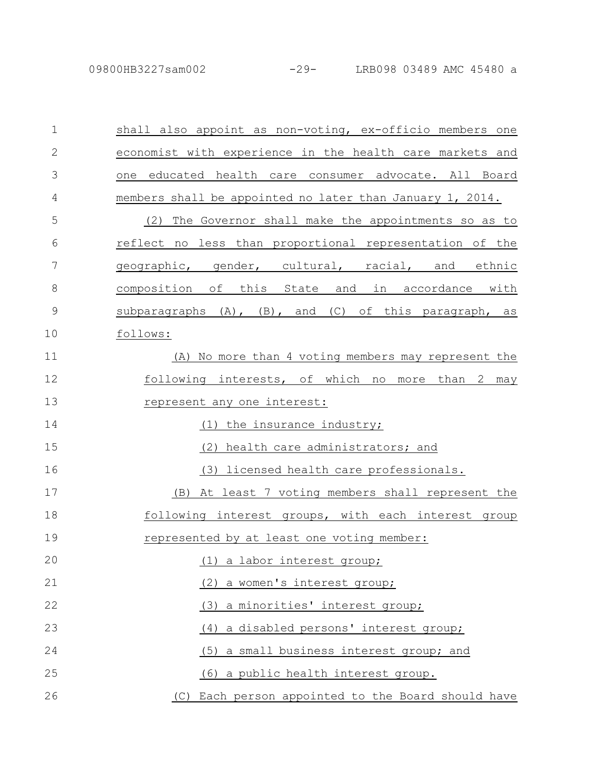| $\mathbf 1$  | shall also appoint as non-voting, ex-officio members one  |
|--------------|-----------------------------------------------------------|
| $\mathbf{2}$ | economist with experience in the health care markets and  |
| 3            | educated health care consumer advocate. All Board<br>one  |
| 4            | members shall be appointed no later than January 1, 2014. |
| 5            | The Governor shall make the appointments so as to<br>(2)  |
| 6            | reflect no less than proportional representation of the   |
| 7            | geographic, gender, cultural, racial, and ethnic          |
| 8            | composition of this State and in accordance with          |
| 9            | subparagraphs (A), (B), and (C) of this paragraph, as     |
| 10           | follows:                                                  |
| 11           | (A) No more than 4 voting members may represent the       |
| 12           | following interests, of which no more than 2 may          |
| 13           | represent any one interest:                               |
| 14           | (1) the insurance industry;                               |
| 15           | health care administrators; and<br>(2)                    |
| 16           | (3) licensed health care professionals.                   |
| 17           | At least 7 voting members shall represent the<br>(B)      |
| 18           | following interest groups, with each interest group       |
| 19           | represented by at least one voting member:                |
| 20           | (1) a labor interest group;                               |
| 21           | (2) a women's interest group;                             |
| 22           | (3) a minorities' interest group;                         |
| 23           | (4) a disabled persons' interest group;                   |
| 24           | (5) a small business interest group; and                  |
| 25           | (6) a public health interest group.                       |
| 26           | (C) Each person appointed to the Board should have        |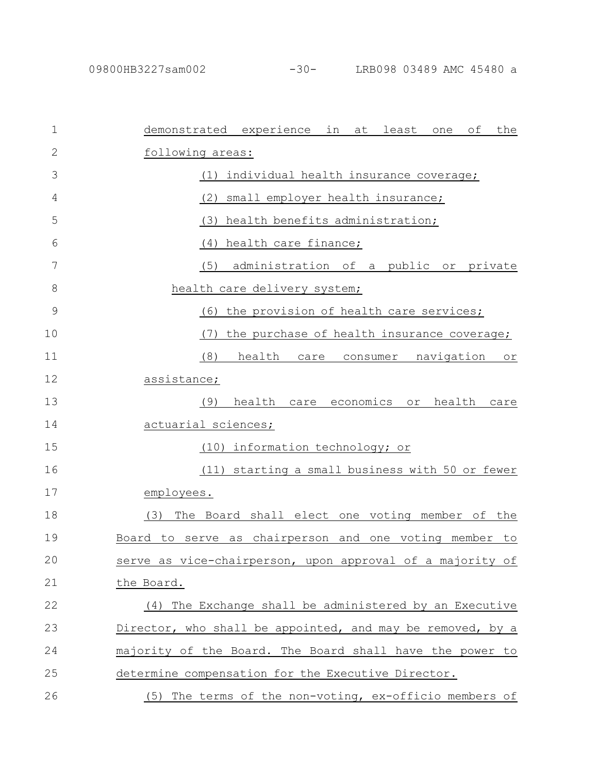| $\mathbf 1$   | demonstrated experience in at<br>least<br>the<br>оf<br>one           |
|---------------|----------------------------------------------------------------------|
| 2             | following areas:                                                     |
| 3             | individual health insurance coverage;<br>(1)                         |
| 4             | (2)<br>small employer health insurance;                              |
| 5             | health benefits administration;<br>(3)                               |
| 6             | health care finance;<br>(4)                                          |
| 7             | administration of a public or private<br>(5)                         |
| 8             | health care delivery system;                                         |
| $\mathcal{G}$ | the provision of health care services;<br>(6)                        |
| 10            | (7)<br>the purchase of health insurance coverage;                    |
| 11            | (8)<br>health<br>navigation<br>care<br>consumer<br>$\circ$ $\,$ $\,$ |
| 12            | assistance;                                                          |
| 13            | (9)<br>health<br>economics<br>health<br>care<br>or<br>care           |
| 14            | actuarial sciences;                                                  |
| 15            | information technology; or<br>(10)                                   |
| 16            | starting a small business with 50 or fewer<br>(11)                   |
| 17            | employees.                                                           |
| 18            | The Board shall elect one voting member of the<br>(3)                |
| 19            | Board to serve as chairperson and one voting member<br>to            |
| 20            | serve as vice-chairperson, upon approval of a majority of            |
| 21            | the Board.                                                           |
| 22            | The Exchange shall be administered by an Executive<br>(4)            |
| 23            | Director, who shall be appointed, and may be removed, by a           |
| 24            | majority of the Board. The Board shall have the power to             |
| 25            | determine compensation for the Executive Director.                   |
| 26            | (5) The terms of the non-voting, ex-officio members of               |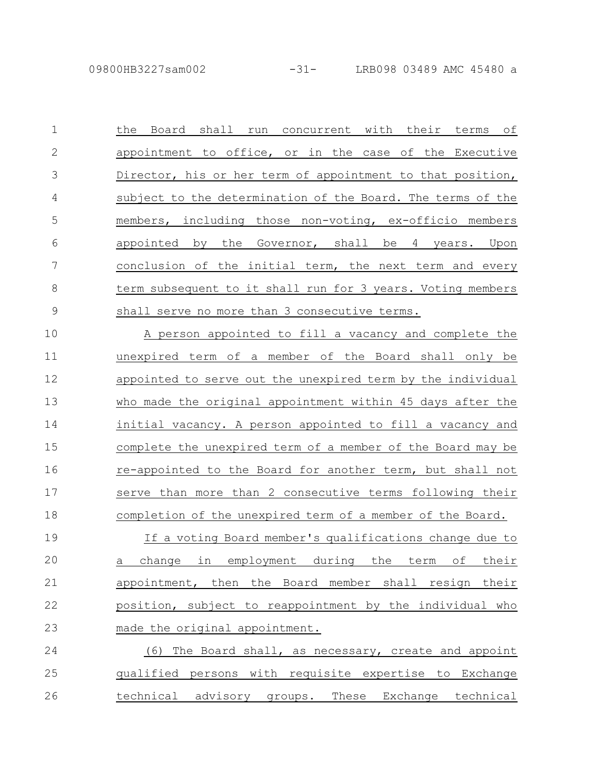the Board shall run concurrent with their terms of appointment to office, or in the case of the Executive Director, his or her term of appointment to that position, subject to the determination of the Board. The terms of the members, including those non-voting, ex-officio members appointed by the Governor, shall be 4 years. Upon conclusion of the initial term, the next term and every term subsequent to it shall run for 3 years. Voting members shall serve no more than 3 consecutive terms. A person appointed to fill a vacancy and complete the 1 2 3 4 5 6 7 8 9

unexpired term of a member of the Board shall only be appointed to serve out the unexpired term by the individual who made the original appointment within 45 days after the initial vacancy. A person appointed to fill a vacancy and complete the unexpired term of a member of the Board may be re-appointed to the Board for another term, but shall not serve than more than 2 consecutive terms following their completion of the unexpired term of a member of the Board. If a voting Board member's qualifications change due to 10 11 12 13 14 15 16 17 18 19

a change in employment during the term of their appointment, then the Board member shall resign their position, subject to reappointment by the individual who made the original appointment. 20 21 22 23

(6) The Board shall, as necessary, create and appoint qualified persons with requisite expertise to Exchange technical advisory groups. These Exchange technical 24 25 26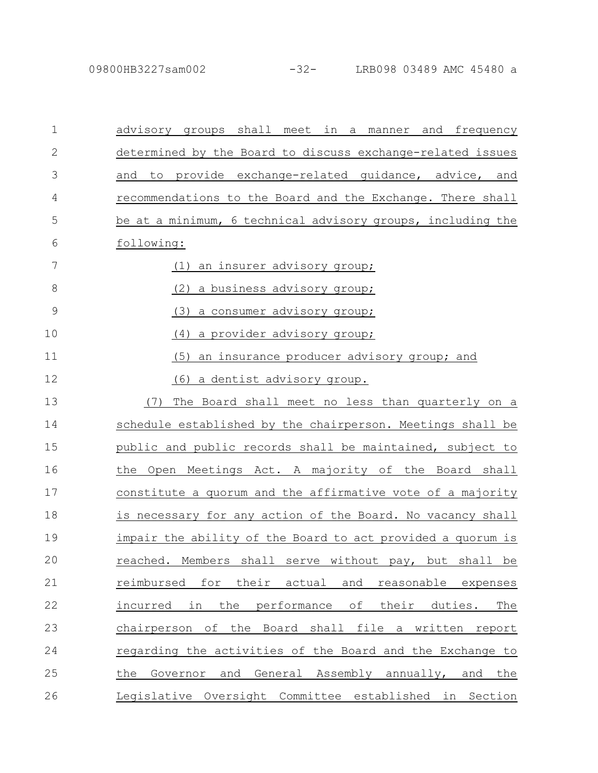| $\mathbf 1$ | advisory groups shall meet in a manner<br>and frequency               |
|-------------|-----------------------------------------------------------------------|
| 2           | determined by the Board to discuss exchange-related issues            |
| 3           | provide exchange-related guidance, advice, and<br>and<br>to           |
| 4           | recommendations to the Board and the Exchange. There shall            |
| 5           | be at a minimum, 6 technical advisory groups, including the           |
| 6           | following:                                                            |
| 7           | an insurer advisory group;<br>(1)                                     |
| 8           | a business advisory group;<br>(2)                                     |
| 9           | (3)<br>a consumer advisory group;                                     |
| 10          | a provider advisory group;<br>(4)                                     |
| 11          | (5)<br>an insurance producer advisory group; and                      |
| 12          | (6)<br>a dentist advisory group.                                      |
| 13          | (7)<br>The Board shall meet no less than quarterly on a               |
| 14          | schedule established by the chairperson. Meetings shall be            |
| 15          | public and public records shall be maintained, subject to             |
| 16          | the Open Meetings Act. A majority of the Board shall                  |
| 17          | constitute a quorum and the affirmative vote of a majority            |
| 18          | is necessary for any action of the Board. No vacancy shall            |
| 19          | impair the ability of the Board to act provided a quorum is           |
| 20          | reached. Members<br>shall<br>serve without pay, but<br>shall be       |
| 21          | for<br>their<br>reimbursed<br>actual<br>and<br>reasonable<br>expenses |
| 22          | the<br>performance<br>of their duties.<br>incurred in<br>The          |
| 23          | chairperson of the Board shall file a written<br>report               |
| 24          | regarding the activities of the Board and the Exchange to             |
| 25          | Governor and General Assembly annually, and the<br>the                |
| 26          | Legislative Oversight Committee established in Section                |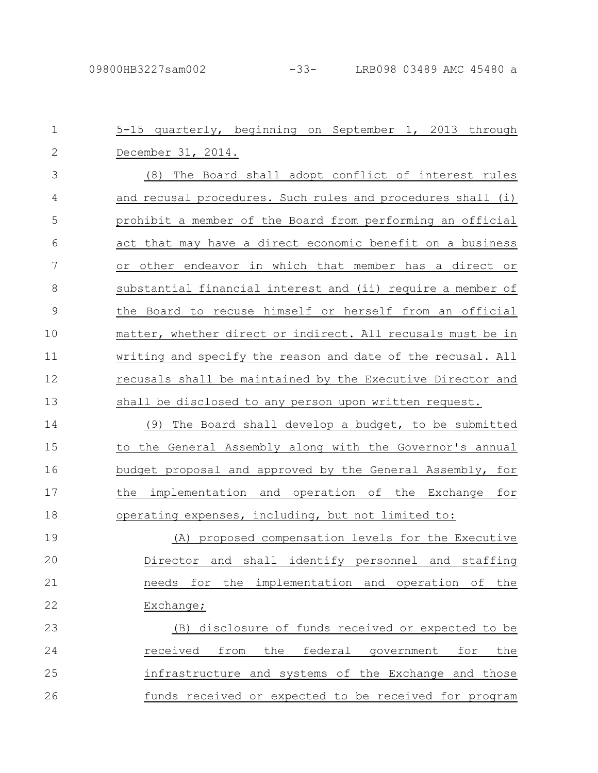| $\mathbf{1}$  | 5-15 quarterly, beginning on September 1, 2013 through      |
|---------------|-------------------------------------------------------------|
| $\mathbf{2}$  | December 31, 2014.                                          |
| 3             | (8) The Board shall adopt conflict of interest rules        |
| 4             | and recusal procedures. Such rules and procedures shall (i) |
| 5             | prohibit a member of the Board from performing an official  |
| 6             | act that may have a direct economic benefit on a business   |
| 7             | or other endeavor in which that member has a direct or      |
| 8             | substantial financial interest and (ii) require a member of |
| $\mathcal{G}$ | the Board to recuse himself or herself from an official     |
| 10            | matter, whether direct or indirect. All recusals must be in |
| 11            | writing and specify the reason and date of the recusal. All |
| 12            | recusals shall be maintained by the Executive Director and  |
| 13            | shall be disclosed to any person upon written request.      |
| 14            | (9)<br>The Board shall develop a budget, to be submitted    |
| 15            | to the General Assembly along with the Governor's annual    |
| 16            | budget proposal and approved by the General Assembly, for   |
| 17            | the implementation and operation of the Exchange for        |
| 18            | operating expenses, including, but not limited to:          |
| 19            | (A) proposed compensation levels for the Executive          |
| 20            | Director and shall identify personnel and staffing          |
| 21            | needs for the implementation and operation of<br>the        |
| 22            | Exchange;                                                   |
| 23            | (B) disclosure of funds received or expected to be          |
| 24            | the federal government<br>received<br>from<br>for<br>the    |
| 25            | infrastructure and systems of the Exchange and those        |
| 26            | funds received or expected to be received for program       |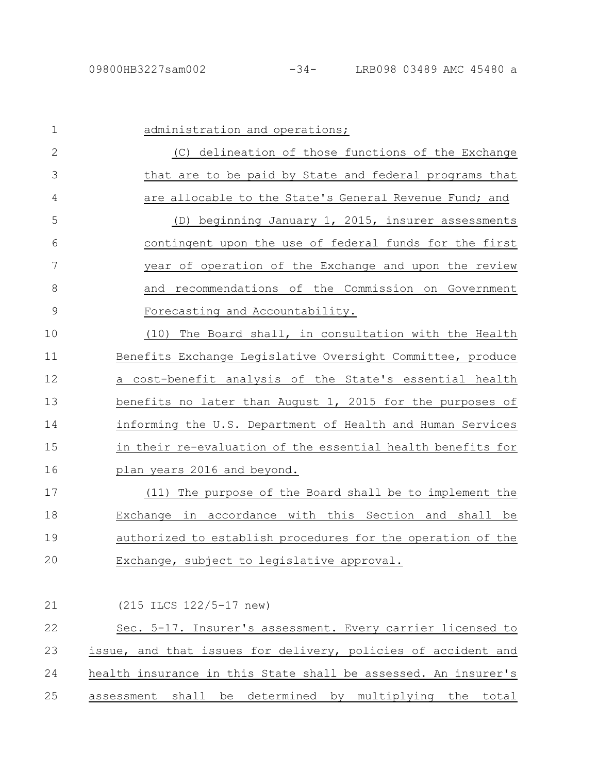| $\mathbf 1$  | administration and operations;                                 |
|--------------|----------------------------------------------------------------|
| $\mathbf{2}$ | (C) delineation of those functions of the Exchange             |
| 3            | that are to be paid by State and federal programs that         |
| 4            | are allocable to the State's General Revenue Fund; and         |
| 5            | beginning January 1, 2015, insurer assessments<br>(D)          |
| 6            | contingent upon the use of federal funds for the first         |
| 7            | year of operation of the Exchange and upon the review          |
| 8            | and recommendations of the Commission on Government            |
| 9            | Forecasting and Accountability.                                |
| 10           | (10) The Board shall, in consultation with the Health          |
| 11           | Benefits Exchange Legislative Oversight Committee, produce     |
| 12           | a cost-benefit analysis of the State's essential health        |
| 13           | benefits no later than August 1, 2015 for the purposes of      |
| 14           | informing the U.S. Department of Health and Human Services     |
| 15           | in their re-evaluation of the essential health benefits for    |
| 16           | plan years 2016 and beyond.                                    |
| 17           | (11) The purpose of the Board shall be to implement the        |
| 18           | Exchange in accordance with this Section and shall be          |
| 19           | authorized to establish procedures for the operation of the    |
| 20           | Exchange, subject to legislative approval.                     |
|              |                                                                |
| 21           | (215 ILCS 122/5-17 new)                                        |
| 22           | Sec. 5-17. Insurer's assessment. Every carrier licensed to     |
| 23           | issue, and that issues for delivery, policies of accident and  |
| 24           | health insurance in this State shall be assessed. An insurer's |
| 25           | assessment shall be determined by multiplying the total        |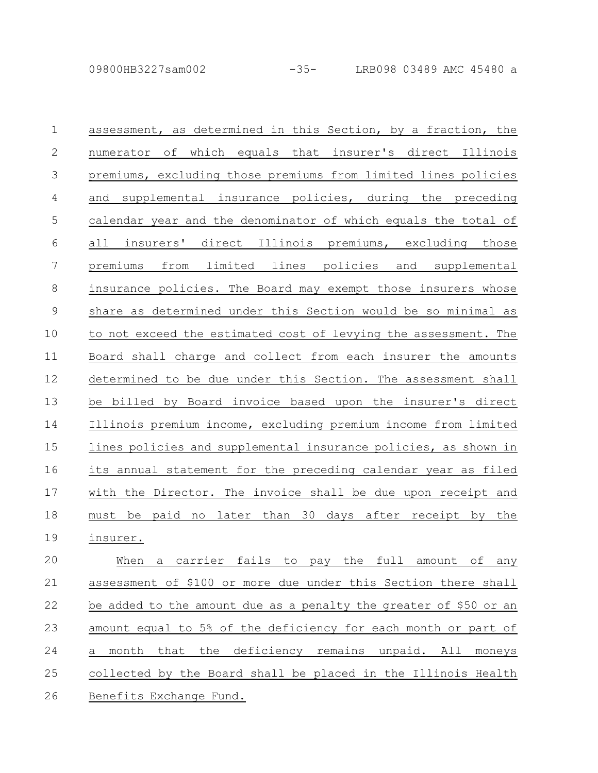| $\mathbf 1$    | assessment, as determined in this Section, by a fraction, the     |
|----------------|-------------------------------------------------------------------|
| $\mathbf{2}$   | numerator of which equals that insurer's direct Illinois          |
| 3              | premiums, excluding those premiums from limited lines policies    |
| $\overline{4}$ | and supplemental insurance policies, during the preceding         |
| 5              | calendar year and the denominator of which equals the total of    |
| 6              | all insurers' direct Illinois premiums, excluding those           |
| $\overline{7}$ | premiums from limited lines policies and supplemental             |
| $\,8\,$        | insurance policies. The Board may exempt those insurers whose     |
| $\mathcal{G}$  | share as determined under this Section would be so minimal as     |
| 10             | to not exceed the estimated cost of levying the assessment. The   |
| 11             | Board shall charge and collect from each insurer the amounts      |
| 12             | determined to be due under this Section. The assessment shall     |
| 13             | be billed by Board invoice based upon the insurer's direct        |
| 14             | Illinois premium income, excluding premium income from limited    |
| 15             | lines policies and supplemental insurance policies, as shown in   |
| 16             | its annual statement for the preceding calendar year as filed     |
| 17             | with the Director. The invoice shall be due upon receipt and      |
| 18             | must be paid no later than 30 days after receipt by the           |
| 19             | insurer.                                                          |
| 20             | a carrier fails to pay the full amount of any<br>When             |
| 21             | assessment of \$100 or more due under this Section there shall    |
| 22             | be added to the amount due as a penalty the greater of \$50 or an |

amount equal to 5% of the deficiency for each month or part of a month that the deficiency remains unpaid. All moneys collected by the Board shall be placed in the Illinois Health 23 24 25

Benefits Exchange Fund. 26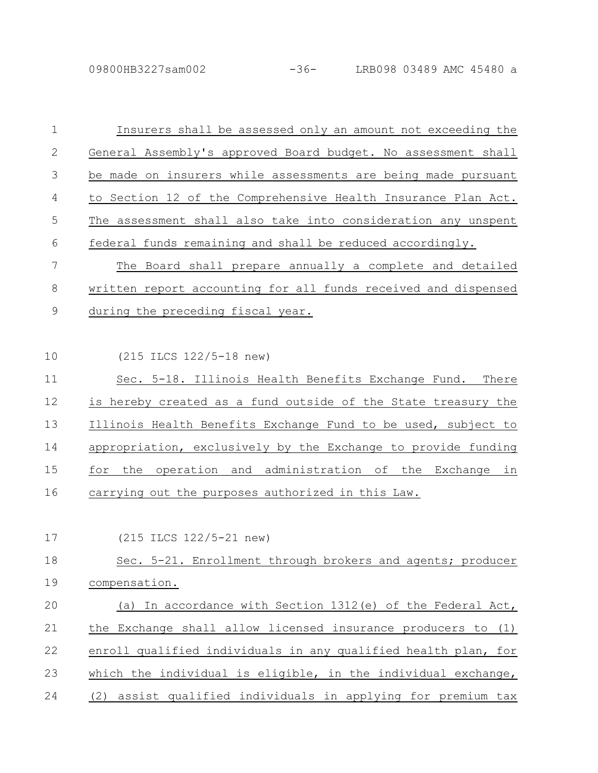| $\mathbf 1$ | Insurers shall be assessed only an amount not exceeding the     |
|-------------|-----------------------------------------------------------------|
| 2           | General Assembly's approved Board budget. No assessment shall   |
| 3           | be made on insurers while assessments are being made pursuant   |
| 4           | to Section 12 of the Comprehensive Health Insurance Plan Act.   |
| 5           | The assessment shall also take into consideration any unspent   |
| 6           | federal funds remaining and shall be reduced accordingly.       |
| 7           | The Board shall prepare annually a complete and detailed        |
| 8           | written report accounting for all funds received and dispensed  |
| $\mathsf 9$ | during the preceding fiscal year.                               |
|             |                                                                 |
| 10          | (215 ILCS 122/5-18 new)                                         |
| 11          | Sec. 5-18. Illinois Health Benefits Exchange Fund. There        |
| 12          | is hereby created as a fund outside of the State treasury the   |
| 13          | Illinois Health Benefits Exchange Fund to be used, subject to   |
| 14          | appropriation, exclusively by the Exchange to provide funding   |
| 15          | for the operation and administration of the Exchange in         |
| 16          | carrying out the purposes authorized in this Law.               |
|             |                                                                 |
| 17          | (215 ILCS 122/5-21 new)                                         |
| 18          | Sec. 5-21. Enrollment through brokers and agents; producer      |
| 19          | compensation.                                                   |
| 20          | (a) In accordance with Section 1312(e) of the Federal Act,      |
| 21          | the Exchange shall allow licensed insurance producers to (1)    |
| 22          | enroll qualified individuals in any qualified health plan, for  |
| 23          | which the individual is eligible, in the individual exchange,   |
| 24          | assist qualified individuals in applying for premium tax<br>(2) |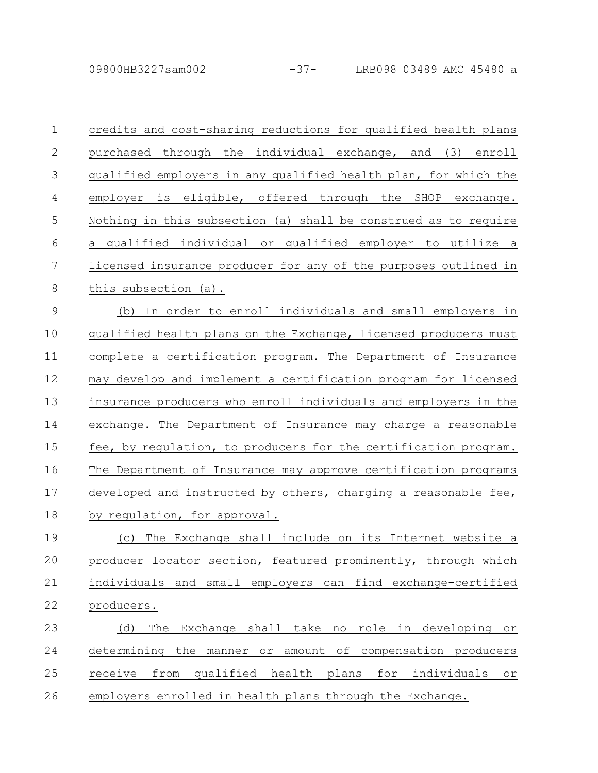| $\mathbf 1$    | credits and cost-sharing reductions for qualified health plans                 |
|----------------|--------------------------------------------------------------------------------|
| 2              | purchased through the individual exchange, and (3) enroll                      |
| 3              | qualified employers in any qualified health plan, for which the                |
| $\overline{4}$ | employer is eligible, offered through the SHOP exchange.                       |
| 5              | Nothing in this subsection (a) shall be construed as to require                |
| 6              | a qualified individual or qualified employer to utilize a                      |
| $\overline{7}$ | licensed insurance producer for any of the purposes outlined in                |
| 8              | this subsection (a).                                                           |
| $\overline{9}$ | (b) In order to enroll individuals and small employers in                      |
| 10             | qualified health plans on the Exchange, licensed producers must                |
| 11             | complete a certification program. The Department of Insurance                  |
| 12             | may develop and implement a certification program for licensed                 |
| 13             | insurance producers who enroll individuals and employers in the                |
| 14             | exchange. The Department of Insurance may charge a reasonable                  |
| 15             | fee, by regulation, to producers for the certification program.                |
| 16             | The Department of Insurance may approve certification programs                 |
| 17             | developed and instructed by others, charging a reasonable fee,                 |
| 18             | by regulation, for approval.                                                   |
| 19             | The Exchange shall include on its Internet website a<br>(C)                    |
| 20             | producer locator section, featured prominently, through which                  |
| 21             | individuals and small employers can find exchange-certified                    |
| 22             | producers.                                                                     |
| 23             | The Exchange shall take no role in developing<br>(d)<br>O <sub>T</sub>         |
| 24             | determining the manner or amount of compensation producers                     |
| 25             | qualified health plans<br>receive<br>from<br>for individuals<br>O <sub>T</sub> |
| 26             | employers enrolled in health plans through the Exchange.                       |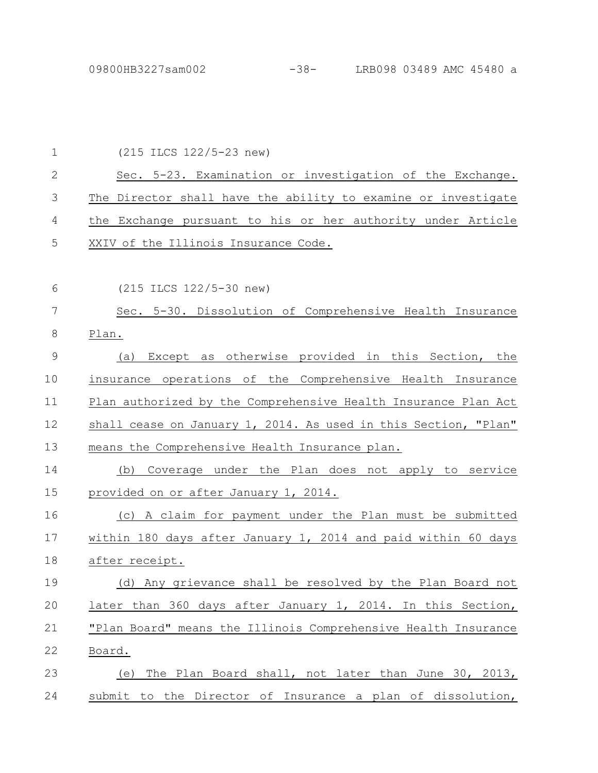| $\mathbf 1$   | (215 ILCS 122/5-23 new)                                         |
|---------------|-----------------------------------------------------------------|
| $\mathbf{2}$  | Sec. 5-23. Examination or investigation of the Exchange.        |
| 3             | The Director shall have the ability to examine or investigate   |
| 4             | the Exchange pursuant to his or her authority under Article     |
| 5             | XXIV of the Illinois Insurance Code.                            |
|               |                                                                 |
| 6             | (215 ILCS 122/5-30 new)                                         |
| 7             | Sec. 5-30. Dissolution of Comprehensive Health Insurance        |
| 8             | Plan.                                                           |
| $\mathcal{G}$ | Except as otherwise provided in this Section, the<br>(a)        |
| 10            | insurance operations of the Comprehensive Health Insurance      |
| 11            | Plan authorized by the Comprehensive Health Insurance Plan Act  |
| 12            | shall cease on January 1, 2014. As used in this Section, "Plan" |
| 13            | means the Comprehensive Health Insurance plan.                  |
| 14            | (b) Coverage under the Plan does not apply to service           |
| 15            | provided on or after January 1, 2014.                           |
| 16            | (c) A claim for payment under the Plan must be submitted        |
| 17            | within 180 days after January 1, 2014 and paid within 60 days   |
| 18            | after receipt.                                                  |
| 19            | (d) Any grievance shall be resolved by the Plan Board not       |
| 20            | later than 360 days after January 1, 2014. In this Section,     |
| 21            | "Plan Board" means the Illinois Comprehensive Health Insurance  |
| 22            | <u>Board.</u>                                                   |
| 23            | The Plan Board shall, not later than June 30, 2013,<br>(e)      |
| 24            | submit to the Director of Insurance a plan of dissolution,      |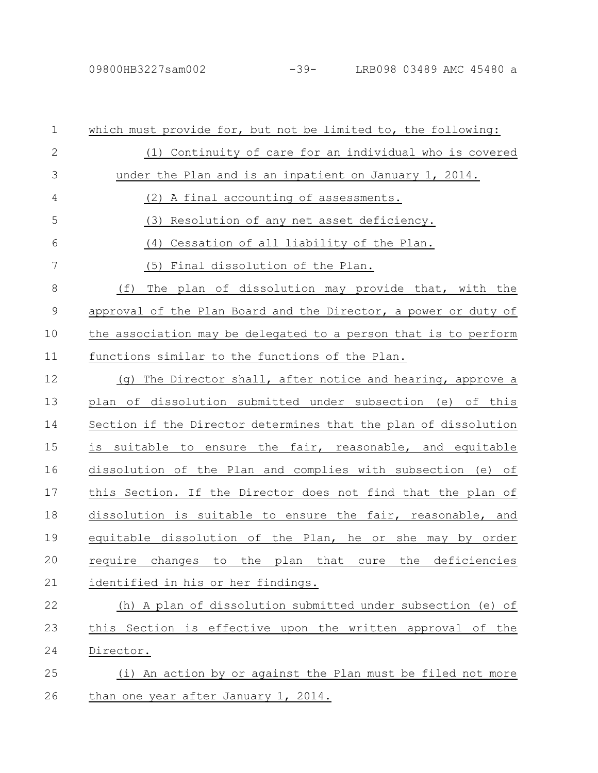| $\mathbf 1$   | which must provide for, but not be limited to, the following:                  |
|---------------|--------------------------------------------------------------------------------|
| 2             | (1) Continuity of care for an individual who is covered                        |
| 3             | under the Plan and is an inpatient on January 1, 2014.                         |
| 4             | (2) A final accounting of assessments.                                         |
| 5             | Resolution of any net asset deficiency.<br>(3)                                 |
| 6             | Cessation of all liability of the Plan.<br>(4)                                 |
| 7             | (5) Final dissolution of the Plan.                                             |
| 8             | (f)<br>The plan of dissolution may provide that, with the                      |
| $\mathcal{G}$ | approval of the Plan Board and the Director, a power or duty of                |
| 10            | the association may be delegated to a person that is to perform                |
| 11            | functions similar to the functions of the Plan.                                |
| 12            | (g) The Director shall, after notice and hearing, approve a                    |
| 13            | plan of dissolution submitted under subsection (e) of this                     |
| 14            | Section if the Director determines that the plan of dissolution                |
| 15            | is suitable to ensure the fair, reasonable, and equitable                      |
| 16            | dissolution of the Plan and complies with subsection (e) of                    |
| 17            | this Section. If the Director does not find that the plan of                   |
| 18            | dissolution is suitable to ensure the fair, reasonable, and                    |
| 19            | equitable dissolution of the Plan, he or she may by order                      |
| 20            | changes<br>to<br>the<br>plan<br>that<br>the<br>deficiencies<br>require<br>cure |
| 21            | identified in his or her findings.                                             |
| 22            | (h) A plan of dissolution submitted under subsection (e) of                    |
| 23            | this Section is effective upon the written approval of the                     |
| 24            | Director.                                                                      |
| 25            | (i) An action by or against the Plan must be filed not more                    |
| 26            | than one year after January 1, 2014.                                           |